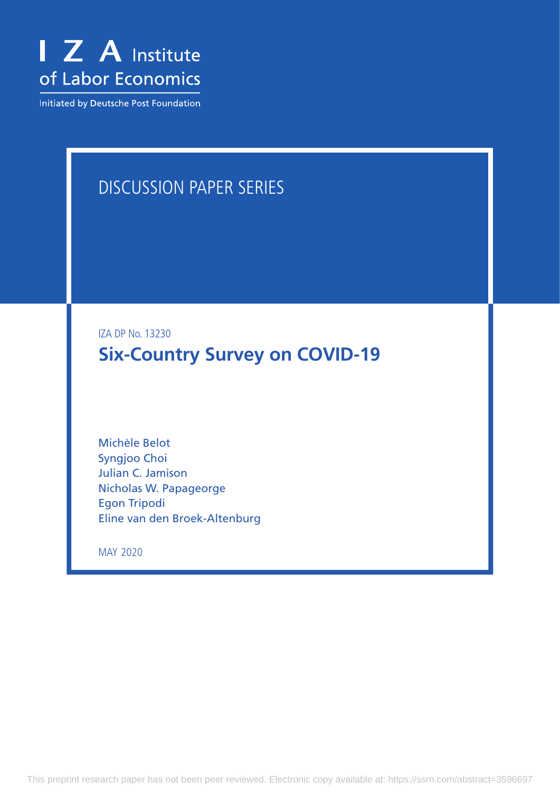

Initiated by Deutsche Post Foundation

# DISCUSSION PAPER SERIES

IZA DP No. 13230

**Six-Country Survey on COVID-19**

Michèle Belot Syngjoo Choi Julian C. Jamison Nicholas W. Papageorge Egon Tripodi Eline van den Broek-Altenburg

MAY 2020

This preprint research paper has not been peer reviewed. Electronic copy available at: https://ssrn.com/abstract=3596697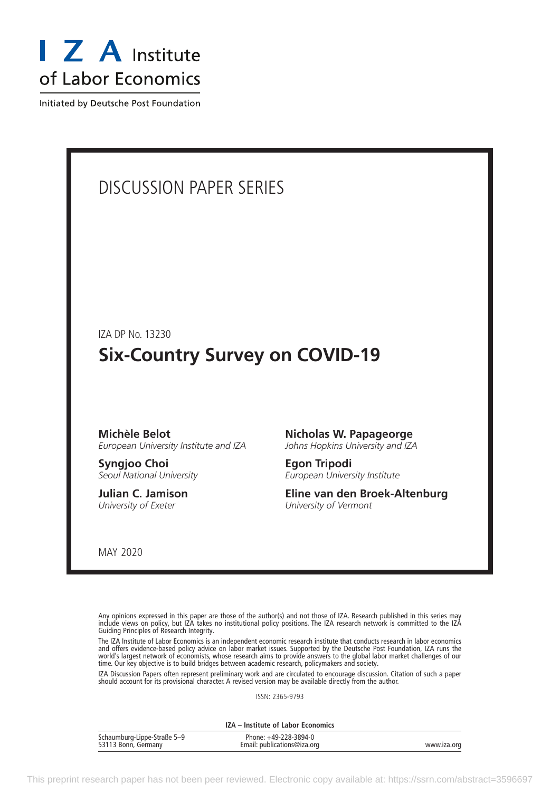

Initiated by Deutsche Post Foundation

# DISCUSSION PAPER SERIES

IZA DP No. 13230

# **Six-Country Survey on COVID-19**

#### **Michèle Belot** *European University Institute and IZA*

**Syngjoo Choi** *Seoul National University*

**Julian C. Jamison** *University of Exeter*

#### **Nicholas W. Papageorge**

*Johns Hopkins University and IZA*

**Egon Tripodi** *European University Institute*

**Eline van den Broek-Altenburg** *University of Vermont*

MAY 2020

Any opinions expressed in this paper are those of the author(s) and not those of IZA. Research published in this series may include views on policy, but IZA takes no institutional policy positions. The IZA research network is committed to the IZA Guiding Principles of Research Integrity.

The IZA Institute of Labor Economics is an independent economic research institute that conducts research in labor economics and offers evidence-based policy advice on labor market issues. Supported by the Deutsche Post Foundation, IZA runs the world's largest network of economists, whose research aims to provide answers to the global labor market challenges of our time. Our key objective is to build bridges between academic research, policymakers and society.

IZA Discussion Papers often represent preliminary work and are circulated to encourage discussion. Citation of such a paper should account for its provisional character. A revised version may be available directly from the author.

ISSN: 2365-9793

**IZA – Institute of Labor Economics**

| Schaumburg-Lippe-Straße 5-9<br>53113 Bonn, Germany | Phone: +49-228-3894-0<br>Email: publications@iza.org | www.iza.oro |
|----------------------------------------------------|------------------------------------------------------|-------------|
|                                                    |                                                      |             |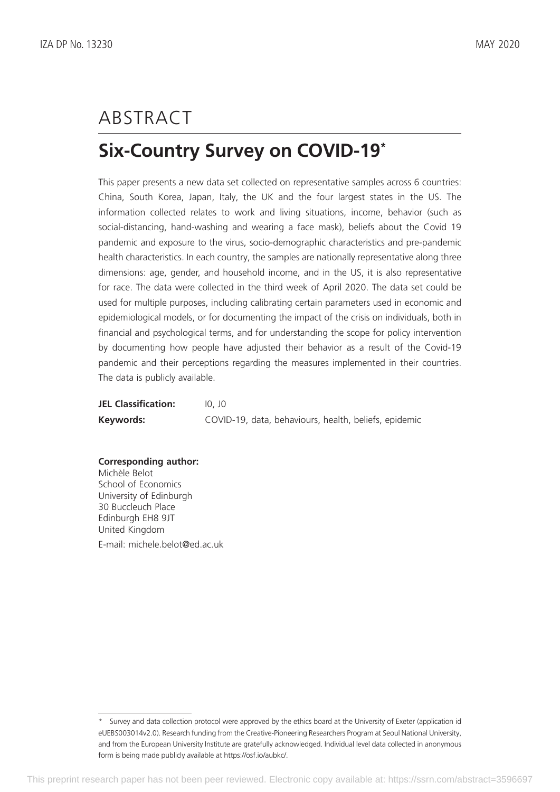# ABSTRACT

# **Six-Country Survey on COVID-19\***

This paper presents a new data set collected on representative samples across 6 countries: China, South Korea, Japan, Italy, the UK and the four largest states in the US. The information collected relates to work and living situations, income, behavior (such as social-distancing, hand-washing and wearing a face mask), beliefs about the Covid 19 pandemic and exposure to the virus, socio-demographic characteristics and pre-pandemic health characteristics. In each country, the samples are nationally representative along three dimensions: age, gender, and household income, and in the US, it is also representative for race. The data were collected in the third week of April 2020. The data set could be used for multiple purposes, including calibrating certain parameters used in economic and epidemiological models, or for documenting the impact of the crisis on individuals, both in financial and psychological terms, and for understanding the scope for policy intervention by documenting how people have adjusted their behavior as a result of the Covid-19 pandemic and their perceptions regarding the measures implemented in their countries. The data is publicly available.

| <b>JEL Classification:</b> | 10. JO                                                |
|----------------------------|-------------------------------------------------------|
| Keywords:                  | COVID-19, data, behaviours, health, beliefs, epidemic |

**Corresponding author:** Michèle Belot School of Economics University of Edinburgh 30 Buccleuch Place Edinburgh EH8 9JT United Kingdom E-mail: michele.belot@ed.ac.uk

<sup>\*</sup> Survey and data collection protocol were approved by the ethics board at the University of Exeter (application id eUEBS003014v2.0). Research funding from the Creative-Pioneering Researchers Program at Seoul National University, and from the European University Institute are gratefully acknowledged. Individual level data collected in anonymous form is being made publicly available at https://osf.io/aubkc/.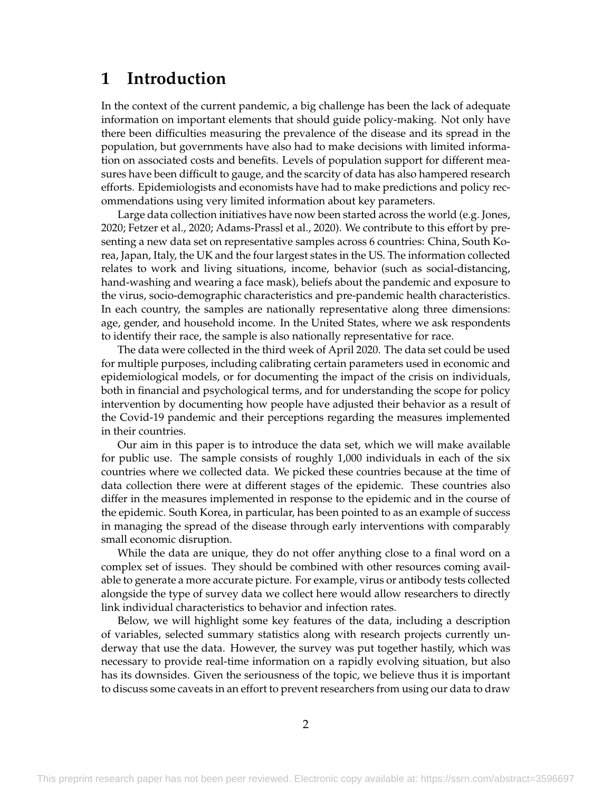## **1 Introduction**

In the context of the current pandemic, a big challenge has been the lack of adequate information on important elements that should guide policy-making. Not only have there been difficulties measuring the prevalence of the disease and its spread in the population, but governments have also had to make decisions with limited information on associated costs and benefits. Levels of population support for different measures have been difficult to gauge, and the scarcity of data has also hampered research efforts. Epidemiologists and economists have had to make predictions and policy recommendations using very limited information about key parameters.

Large data collection initiatives have now been started across the world (e.g. [Jones,](#page-16-0) [2020;](#page-16-0) [Fetzer et al.,](#page-16-1) [2020;](#page-16-1) [Adams-Prassl et al.,](#page-16-2) [2020\)](#page-16-2). We contribute to this effort by presenting a new data set on representative samples across 6 countries: China, South Korea, Japan, Italy, the UK and the four largest states in the US. The information collected relates to work and living situations, income, behavior (such as social-distancing, hand-washing and wearing a face mask), beliefs about the pandemic and exposure to the virus, socio-demographic characteristics and pre-pandemic health characteristics. In each country, the samples are nationally representative along three dimensions: age, gender, and household income. In the United States, where we ask respondents to identify their race, the sample is also nationally representative for race.

The data were collected in the third week of April 2020. The data set could be used for multiple purposes, including calibrating certain parameters used in economic and epidemiological models, or for documenting the impact of the crisis on individuals, both in financial and psychological terms, and for understanding the scope for policy intervention by documenting how people have adjusted their behavior as a result of the Covid-19 pandemic and their perceptions regarding the measures implemented in their countries.

Our aim in this paper is to introduce the data set, which we will make available for public use. The sample consists of roughly 1,000 individuals in each of the six countries where we collected data. We picked these countries because at the time of data collection there were at different stages of the epidemic. These countries also differ in the measures implemented in response to the epidemic and in the course of the epidemic. South Korea, in particular, has been pointed to as an example of success in managing the spread of the disease through early interventions with comparably small economic disruption.

While the data are unique, they do not offer anything close to a final word on a complex set of issues. They should be combined with other resources coming available to generate a more accurate picture. For example, virus or antibody tests collected alongside the type of survey data we collect here would allow researchers to directly link individual characteristics to behavior and infection rates.

Below, we will highlight some key features of the data, including a description of variables, selected summary statistics along with research projects currently underway that use the data. However, the survey was put together hastily, which was necessary to provide real-time information on a rapidly evolving situation, but also has its downsides. Given the seriousness of the topic, we believe thus it is important to discuss some caveats in an effort to prevent researchers from using our data to draw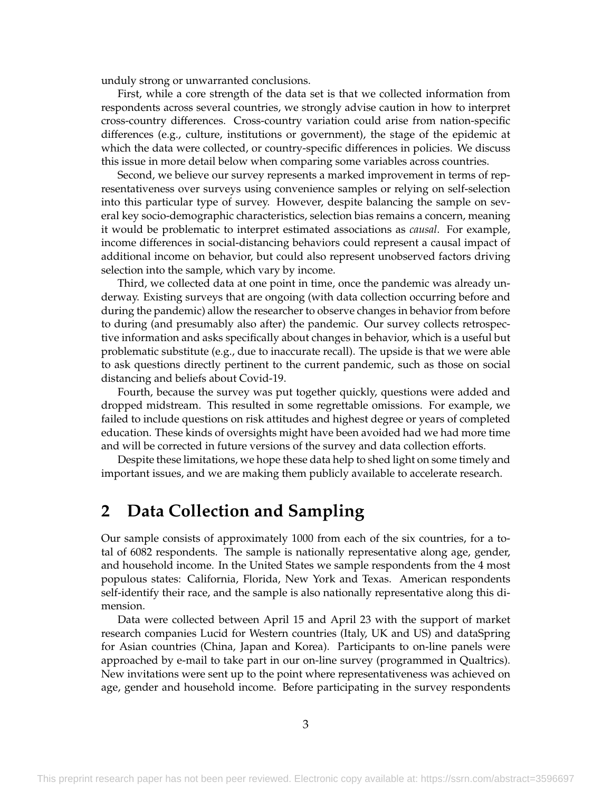unduly strong or unwarranted conclusions.

First, while a core strength of the data set is that we collected information from respondents across several countries, we strongly advise caution in how to interpret cross-country differences. Cross-country variation could arise from nation-specific differences (e.g., culture, institutions or government), the stage of the epidemic at which the data were collected, or country-specific differences in policies. We discuss this issue in more detail below when comparing some variables across countries.

Second, we believe our survey represents a marked improvement in terms of representativeness over surveys using convenience samples or relying on self-selection into this particular type of survey. However, despite balancing the sample on several key socio-demographic characteristics, selection bias remains a concern, meaning it would be problematic to interpret estimated associations as *causal*. For example, income differences in social-distancing behaviors could represent a causal impact of additional income on behavior, but could also represent unobserved factors driving selection into the sample, which vary by income.

Third, we collected data at one point in time, once the pandemic was already underway. Existing surveys that are ongoing (with data collection occurring before and during the pandemic) allow the researcher to observe changes in behavior from before to during (and presumably also after) the pandemic. Our survey collects retrospective information and asks specifically about changes in behavior, which is a useful but problematic substitute (e.g., due to inaccurate recall). The upside is that we were able to ask questions directly pertinent to the current pandemic, such as those on social distancing and beliefs about Covid-19.

Fourth, because the survey was put together quickly, questions were added and dropped midstream. This resulted in some regrettable omissions. For example, we failed to include questions on risk attitudes and highest degree or years of completed education. These kinds of oversights might have been avoided had we had more time and will be corrected in future versions of the survey and data collection efforts.

Despite these limitations, we hope these data help to shed light on some timely and important issues, and we are making them publicly available to accelerate research.

## **2 Data Collection and Sampling**

Our sample consists of approximately 1000 from each of the six countries, for a total of 6082 respondents. The sample is nationally representative along age, gender, and household income. In the United States we sample respondents from the 4 most populous states: California, Florida, New York and Texas. American respondents self-identify their race, and the sample is also nationally representative along this dimension.

Data were collected between April 15 and April 23 with the support of market research companies Lucid for Western countries (Italy, UK and US) and dataSpring for Asian countries (China, Japan and Korea). Participants to on-line panels were approached by e-mail to take part in our on-line survey (programmed in Qualtrics). New invitations were sent up to the point where representativeness was achieved on age, gender and household income. Before participating in the survey respondents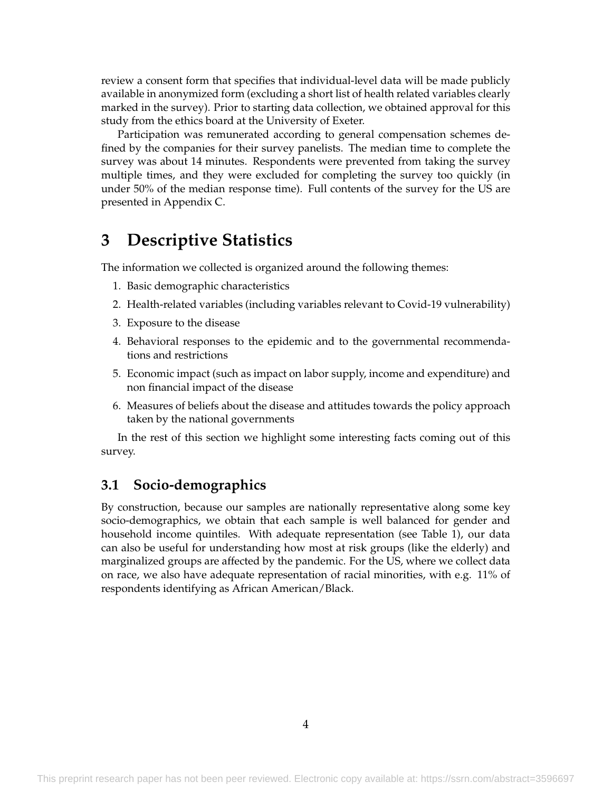review a consent form that specifies that individual-level data will be made publicly available in anonymized form (excluding a short list of health related variables clearly marked in the survey). Prior to starting data collection, we obtained approval for this study from the ethics board at the University of Exeter.

Participation was remunerated according to general compensation schemes defined by the companies for their survey panelists. The median time to complete the survey was about 14 minutes. Respondents were prevented from taking the survey multiple times, and they were excluded for completing the survey too quickly (in under 50% of the median response time). Full contents of the survey for the US are presented in [Appendix C.](#page-22-0)

# **3 Descriptive Statistics**

The information we collected is organized around the following themes:

- 1. Basic demographic characteristics
- 2. Health-related variables (including variables relevant to Covid-19 vulnerability)
- 3. Exposure to the disease
- 4. Behavioral responses to the epidemic and to the governmental recommendations and restrictions
- 5. Economic impact (such as impact on labor supply, income and expenditure) and non financial impact of the disease
- 6. Measures of beliefs about the disease and attitudes towards the policy approach taken by the national governments

In the rest of this section we highlight some interesting facts coming out of this survey.

#### **3.1 Socio-demographics**

By construction, because our samples are nationally representative along some key socio-demographics, we obtain that each sample is well balanced for gender and household income quintiles. With adequate representation (see [Table 1\)](#page-6-0), our data can also be useful for understanding how most at risk groups (like the elderly) and marginalized groups are affected by the pandemic. For the US, where we collect data on race, we also have adequate representation of racial minorities, with e.g. 11% of respondents identifying as African American/Black.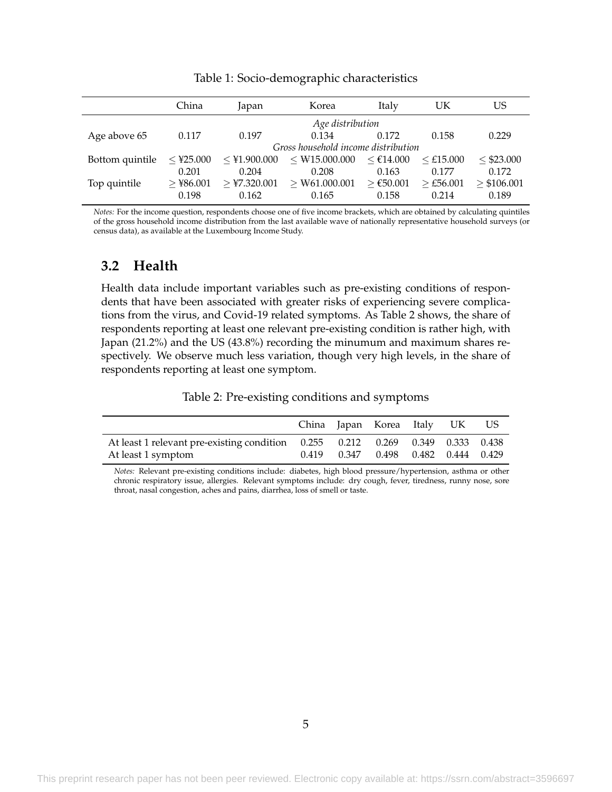<span id="page-6-0"></span>

|                 | China                | Japan                   | Korea                               | Italy                | UK                               | US                        |
|-----------------|----------------------|-------------------------|-------------------------------------|----------------------|----------------------------------|---------------------------|
|                 |                      |                         | Age distribution                    |                      |                                  |                           |
| Age above 65    | 0.117                | 0.197                   | 0.134                               | 0.172                | 0.158                            | 0.229                     |
|                 |                      |                         | Gross household income distribution |                      |                                  |                           |
| Bottom quintile | $\leq$ ¥25.000       | $\leq$ ¥1.900.000       | $<$ \times 15.000.000               | $<$ €14.000          | $<$ £15.000                      | < \$23.000                |
|                 | 0.201                | 0.204                   | 0.208                               | 0.163                | 0.177                            | 0.172                     |
| Top quintile    | $>$ ¥86.001<br>0.198 | $>$ ¥7.320.001<br>0.162 | $>$ ₩61.000.001<br>0.165            | $≥$ €50.001<br>0.158 | $>\text{\pounds}56.001$<br>0.214 | $\geq$ \$106.001<br>0.189 |

Table 1: Socio-demographic characteristics

*Notes:* For the income question, respondents choose one of five income brackets, which are obtained by calculating quintiles of the gross household income distribution from the last available wave of nationally representative household surveys (or census data), as available at the Luxembourg Income Study.

#### **3.2 Health**

Health data include important variables such as pre-existing conditions of respondents that have been associated with greater risks of experiencing severe complications from the virus, and Covid-19 related symptoms. As [Table 2](#page-6-1) shows, the share of respondents reporting at least one relevant pre-existing condition is rather high, with Japan (21.2%) and the US (43.8%) recording the minumum and maximum shares respectively. We observe much less variation, though very high levels, in the share of respondents reporting at least one symptom.

Table 2: Pre-existing conditions and symptoms

<span id="page-6-1"></span>

|                                                                                |       | China Japan Korea Italy UK              |  | US. |
|--------------------------------------------------------------------------------|-------|-----------------------------------------|--|-----|
| At least 1 relevant pre-existing condition 0.255 0.212 0.269 0.349 0.333 0.438 |       |                                         |  |     |
| At least 1 symptom                                                             | 0.419 | $0.347$ $0.498$ $0.482$ $0.444$ $0.429$ |  |     |

*Notes:* Relevant pre-existing conditions include: diabetes, high blood pressure/hypertension, asthma or other chronic respiratory issue, allergies. Relevant symptoms include: dry cough, fever, tiredness, runny nose, sore throat, nasal congestion, aches and pains, diarrhea, loss of smell or taste.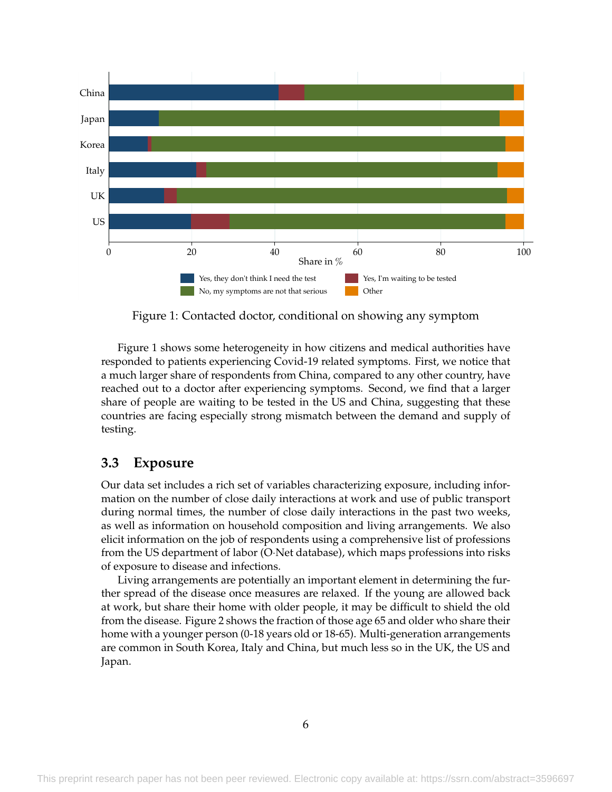<span id="page-7-0"></span>

Figure 1: Contacted doctor, conditional on showing any symptom

[Figure 1](#page-7-0) shows some heterogeneity in how citizens and medical authorities have responded to patients experiencing Covid-19 related symptoms. First, we notice that a much larger share of respondents from China, compared to any other country, have reached out to a doctor after experiencing symptoms. Second, we find that a larger share of people are waiting to be tested in the US and China, suggesting that these countries are facing especially strong mismatch between the demand and supply of testing.

#### **3.3 Exposure**

Our data set includes a rich set of variables characterizing exposure, including information on the number of close daily interactions at work and use of public transport during normal times, the number of close daily interactions in the past two weeks, as well as information on household composition and living arrangements. We also elicit information on the job of respondents using a comprehensive list of professions from the US department of labor (O·Net database), which maps professions into risks of exposure to disease and infections.

Living arrangements are potentially an important element in determining the further spread of the disease once measures are relaxed. If the young are allowed back at work, but share their home with older people, it may be difficult to shield the old from the disease. [Figure 2](#page-8-0) shows the fraction of those age 65 and older who share their home with a younger person (0-18 years old or 18-65). Multi-generation arrangements are common in South Korea, Italy and China, but much less so in the UK, the US and Japan.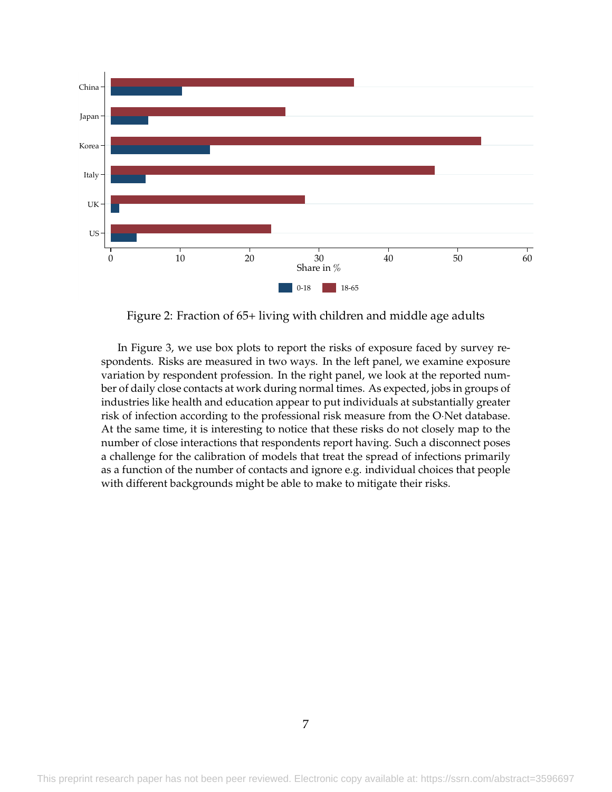<span id="page-8-0"></span>

Figure 2: Fraction of 65+ living with children and middle age adults

In [Figure 3,](#page-9-0) we use box plots to report the risks of exposure faced by survey respondents. Risks are measured in two ways. In the left panel, we examine exposure variation by respondent profession. In the right panel, we look at the reported number of daily close contacts at work during normal times. As expected, jobs in groups of industries like health and education appear to put individuals at substantially greater risk of infection according to the professional risk measure from the O·Net database. At the same time, it is interesting to notice that these risks do not closely map to the number of close interactions that respondents report having. Such a disconnect poses a challenge for the calibration of models that treat the spread of infections primarily as a function of the number of contacts and ignore e.g. individual choices that people with different backgrounds might be able to make to mitigate their risks.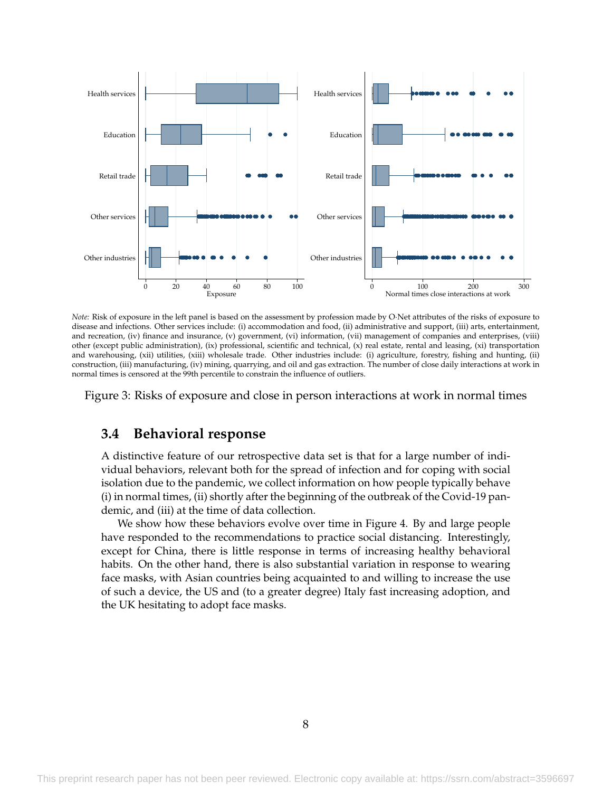<span id="page-9-0"></span>

*Note:* Risk of exposure in the left panel is based on the assessment by profession made by O·Net attributes of the risks of exposure to disease and infections. Other services include: (i) accommodation and food, (ii) administrative and support, (iii) arts, entertainment, and recreation, (iv) finance and insurance, (v) government, (vi) information, (vii) management of companies and enterprises, (viii) other (except public administration), (ix) professional, scientific and technical, (x) real estate, rental and leasing, (xi) transportation and warehousing, (xii) utilities, (xiii) wholesale trade. Other industries include: (i) agriculture, forestry, fishing and hunting, (ii) construction, (iii) manufacturing, (iv) mining, quarrying, and oil and gas extraction. The number of close daily interactions at work in normal times is censored at the 99th percentile to constrain the influence of outliers.

Figure 3: Risks of exposure and close in person interactions at work in normal times

#### **3.4 Behavioral response**

A distinctive feature of our retrospective data set is that for a large number of individual behaviors, relevant both for the spread of infection and for coping with social isolation due to the pandemic, we collect information on how people typically behave (i) in normal times, (ii) shortly after the beginning of the outbreak of the Covid-19 pandemic, and (iii) at the time of data collection.

We show how these behaviors evolve over time in [Figure 4.](#page-10-0) By and large people have responded to the recommendations to practice social distancing. Interestingly, except for China, there is little response in terms of increasing healthy behavioral habits. On the other hand, there is also substantial variation in response to wearing face masks, with Asian countries being acquainted to and willing to increase the use of such a device, the US and (to a greater degree) Italy fast increasing adoption, and the UK hesitating to adopt face masks.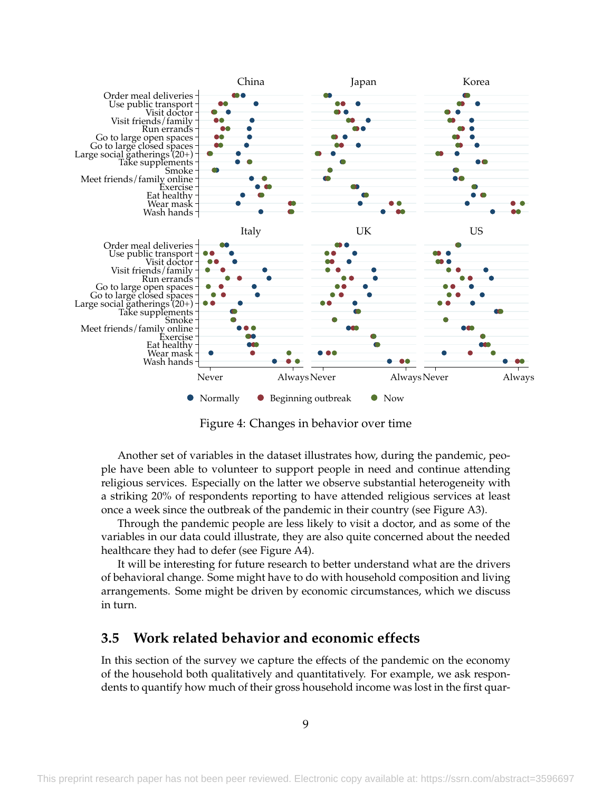<span id="page-10-0"></span>

Figure 4: Changes in behavior over time

Another set of variables in the dataset illustrates how, during the pandemic, people have been able to volunteer to support people in need and continue attending religious services. Especially on the latter we observe substantial heterogeneity with a striking 20% of respondents reporting to have attended religious services at least once a week since the outbreak of the pandemic in their country (see [Figure A3\)](#page-20-0).

Through the pandemic people are less likely to visit a doctor, and as some of the variables in our data could illustrate, they are also quite concerned about the needed healthcare they had to defer (see [Figure A4\)](#page-21-0).

It will be interesting for future research to better understand what are the drivers of behavioral change. Some might have to do with household composition and living arrangements. Some might be driven by economic circumstances, which we discuss in turn.

#### **3.5 Work related behavior and economic effects**

In this section of the survey we capture the effects of the pandemic on the economy of the household both qualitatively and quantitatively. For example, we ask respondents to quantify how much of their gross household income was lost in the first quar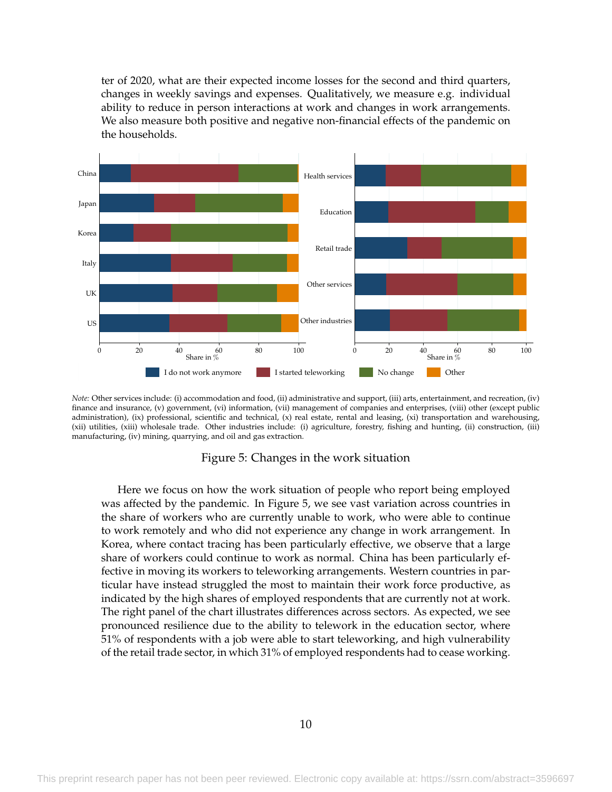ter of 2020, what are their expected income losses for the second and third quarters, changes in weekly savings and expenses. Qualitatively, we measure e.g. individual ability to reduce in person interactions at work and changes in work arrangements. We also measure both positive and negative non-financial effects of the pandemic on the households.

<span id="page-11-0"></span>

*Note:* Other services include: (i) accommodation and food, (ii) administrative and support, (iii) arts, entertainment, and recreation, (iv) finance and insurance, (v) government, (vi) information, (vii) management of companies and enterprises, (viii) other (except public administration), (ix) professional, scientific and technical, (x) real estate, rental and leasing, (xi) transportation and warehousing, (xii) utilities, (xiii) wholesale trade. Other industries include: (i) agriculture, forestry, fishing and hunting, (ii) construction, (iii) manufacturing, (iv) mining, quarrying, and oil and gas extraction.

#### Figure 5: Changes in the work situation

Here we focus on how the work situation of people who report being employed was affected by the pandemic. In [Figure 5,](#page-11-0) we see vast variation across countries in the share of workers who are currently unable to work, who were able to continue to work remotely and who did not experience any change in work arrangement. In Korea, where contact tracing has been particularly effective, we observe that a large share of workers could continue to work as normal. China has been particularly effective in moving its workers to teleworking arrangements. Western countries in particular have instead struggled the most to maintain their work force productive, as indicated by the high shares of employed respondents that are currently not at work. The right panel of the chart illustrates differences across sectors. As expected, we see pronounced resilience due to the ability to telework in the education sector, where 51% of respondents with a job were able to start teleworking, and high vulnerability of the retail trade sector, in which 31% of employed respondents had to cease working.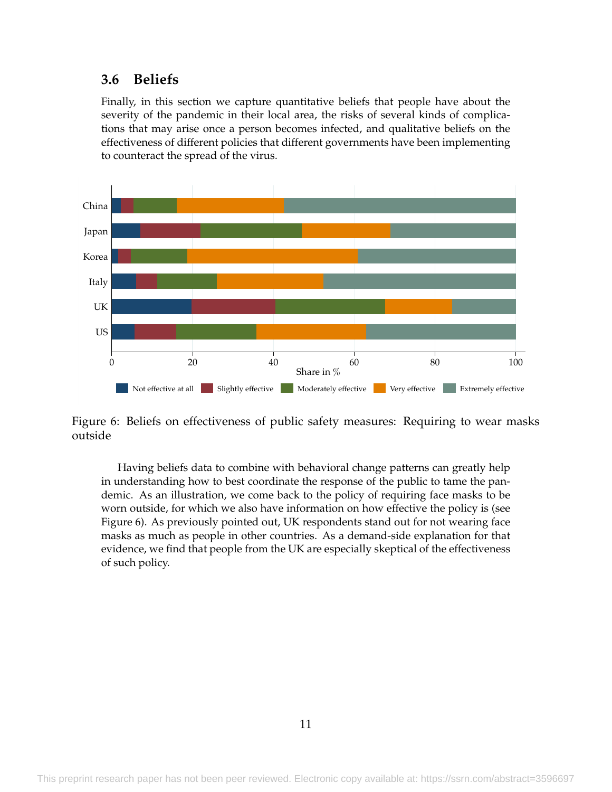### **3.6 Beliefs**

Finally, in this section we capture quantitative beliefs that people have about the severity of the pandemic in their local area, the risks of several kinds of complications that may arise once a person becomes infected, and qualitative beliefs on the effectiveness of different policies that different governments have been implementing to counteract the spread of the virus.

<span id="page-12-0"></span>

Figure 6: Beliefs on effectiveness of public safety measures: Requiring to wear masks outside

Having beliefs data to combine with behavioral change patterns can greatly help in understanding how to best coordinate the response of the public to tame the pandemic. As an illustration, we come back to the policy of requiring face masks to be worn outside, for which we also have information on how effective the policy is (see [Figure 6\)](#page-12-0). As previously pointed out, UK respondents stand out for not wearing face masks as much as people in other countries. As a demand-side explanation for that evidence, we find that people from the UK are especially skeptical of the effectiveness of such policy.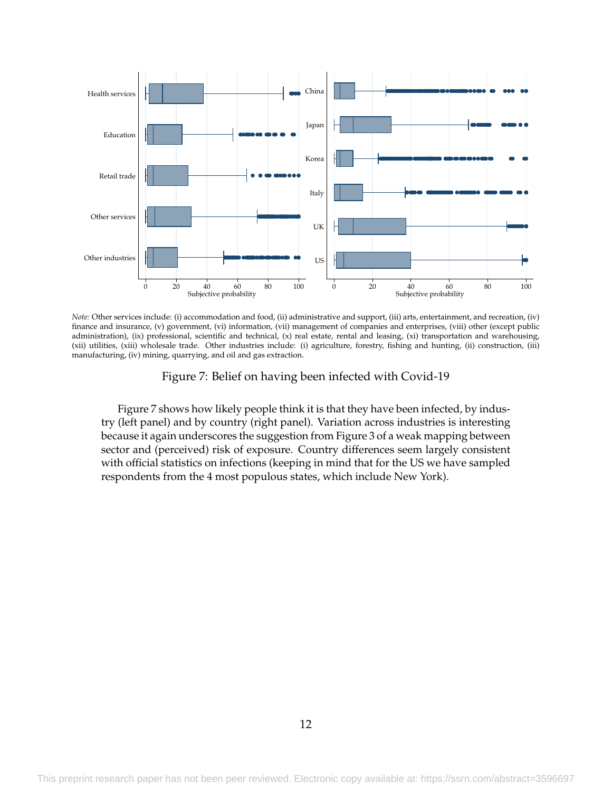<span id="page-13-0"></span>

*Note:* Other services include: (i) accommodation and food, (ii) administrative and support, (iii) arts, entertainment, and recreation, (iv) finance and insurance, (v) government, (vi) information, (vii) management of companies and enterprises, (viii) other (except public administration), (ix) professional, scientific and technical, (x) real estate, rental and leasing, (xi) transportation and warehousing, (xii) utilities, (xiii) wholesale trade. Other industries include: (i) agriculture, forestry, fishing and hunting, (ii) construction, (iii) manufacturing, (iv) mining, quarrying, and oil and gas extraction.

Figure 7: Belief on having been infected with Covid-19

[Figure 7](#page-13-0) shows how likely people think it is that they have been infected, by industry (left panel) and by country (right panel). Variation across industries is interesting because it again underscores the suggestion from [Figure 3](#page-9-0) of a weak mapping between sector and (perceived) risk of exposure. Country differences seem largely consistent with official statistics on infections (keeping in mind that for the US we have sampled respondents from the 4 most populous states, which include New York).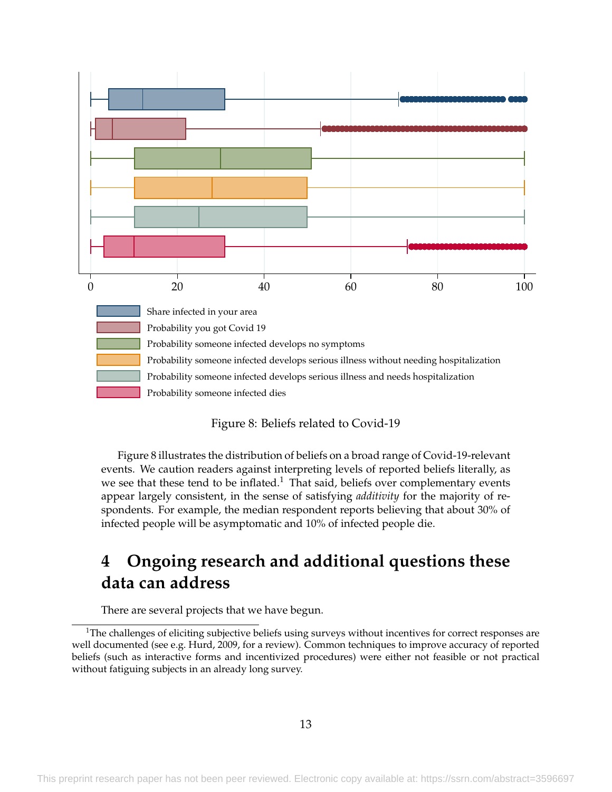<span id="page-14-0"></span>

#### Figure 8: Beliefs related to Covid-19

[Figure 8](#page-14-0) illustrates the distribution of beliefs on a broad range of Covid-19-relevant events. We caution readers against interpreting levels of reported beliefs literally, as we see that these tend to be inflated.<sup>[1](#page-14-1)</sup> That said, beliefs over complementary events appear largely consistent, in the sense of satisfying *additivity* for the majority of respondents. For example, the median respondent reports believing that about 30% of infected people will be asymptomatic and 10% of infected people die.

# **4 Ongoing research and additional questions these data can address**

There are several projects that we have begun.

<span id="page-14-1"></span> $1$ The challenges of eliciting subjective beliefs using surveys without incentives for correct responses are well documented (see e.g. [Hurd,](#page-16-3) [2009,](#page-16-3) for a review). Common techniques to improve accuracy of reported beliefs (such as interactive forms and incentivized procedures) were either not feasible or not practical without fatiguing subjects in an already long survey.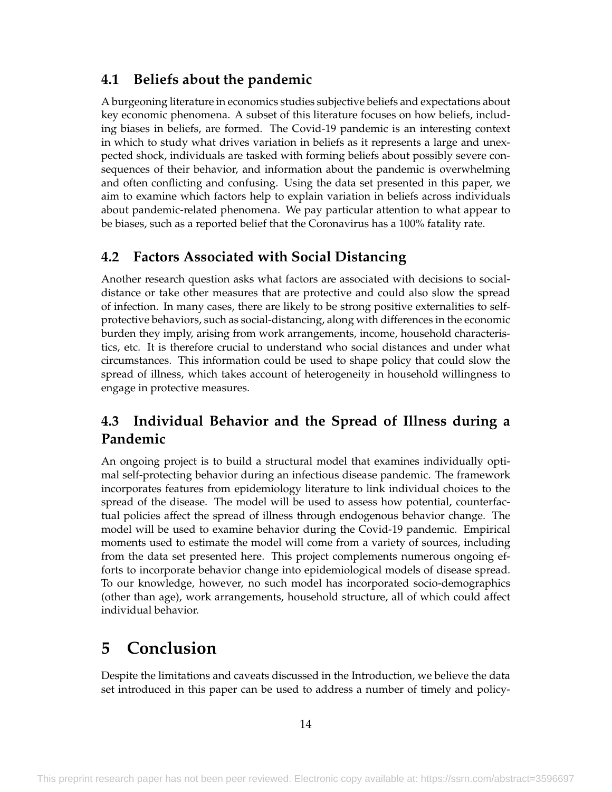## **4.1 Beliefs about the pandemic**

A burgeoning literature in economics studies subjective beliefs and expectations about key economic phenomena. A subset of this literature focuses on how beliefs, including biases in beliefs, are formed. The Covid-19 pandemic is an interesting context in which to study what drives variation in beliefs as it represents a large and unexpected shock, individuals are tasked with forming beliefs about possibly severe consequences of their behavior, and information about the pandemic is overwhelming and often conflicting and confusing. Using the data set presented in this paper, we aim to examine which factors help to explain variation in beliefs across individuals about pandemic-related phenomena. We pay particular attention to what appear to be biases, such as a reported belief that the Coronavirus has a 100% fatality rate.

## **4.2 Factors Associated with Social Distancing**

Another research question asks what factors are associated with decisions to socialdistance or take other measures that are protective and could also slow the spread of infection. In many cases, there are likely to be strong positive externalities to selfprotective behaviors, such as social-distancing, along with differences in the economic burden they imply, arising from work arrangements, income, household characteristics, etc. It is therefore crucial to understand who social distances and under what circumstances. This information could be used to shape policy that could slow the spread of illness, which takes account of heterogeneity in household willingness to engage in protective measures.

## **4.3 Individual Behavior and the Spread of Illness during a Pandemic**

An ongoing project is to build a structural model that examines individually optimal self-protecting behavior during an infectious disease pandemic. The framework incorporates features from epidemiology literature to link individual choices to the spread of the disease. The model will be used to assess how potential, counterfactual policies affect the spread of illness through endogenous behavior change. The model will be used to examine behavior during the Covid-19 pandemic. Empirical moments used to estimate the model will come from a variety of sources, including from the data set presented here. This project complements numerous ongoing efforts to incorporate behavior change into epidemiological models of disease spread. To our knowledge, however, no such model has incorporated socio-demographics (other than age), work arrangements, household structure, all of which could affect individual behavior.

# **5 Conclusion**

Despite the limitations and caveats discussed in the Introduction, we believe the data set introduced in this paper can be used to address a number of timely and policy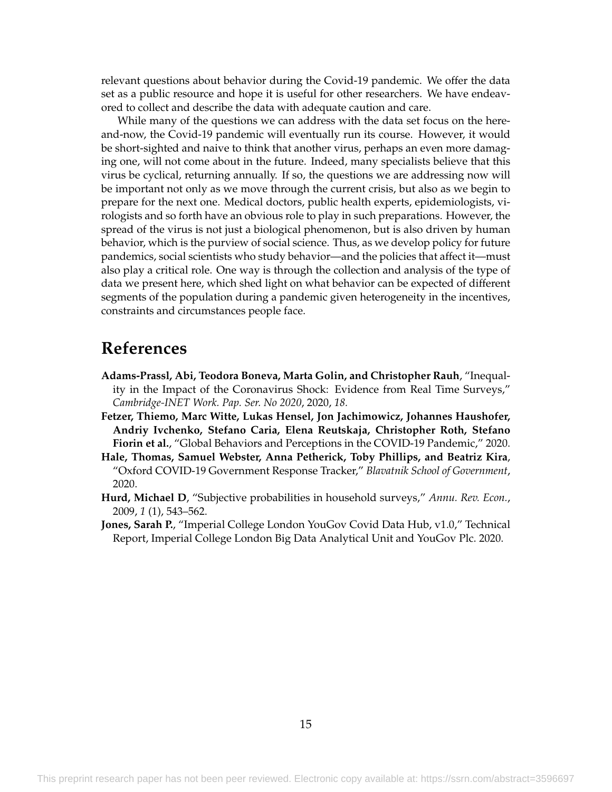relevant questions about behavior during the Covid-19 pandemic. We offer the data set as a public resource and hope it is useful for other researchers. We have endeavored to collect and describe the data with adequate caution and care.

While many of the questions we can address with the data set focus on the hereand-now, the Covid-19 pandemic will eventually run its course. However, it would be short-sighted and naive to think that another virus, perhaps an even more damaging one, will not come about in the future. Indeed, many specialists believe that this virus be cyclical, returning annually. If so, the questions we are addressing now will be important not only as we move through the current crisis, but also as we begin to prepare for the next one. Medical doctors, public health experts, epidemiologists, virologists and so forth have an obvious role to play in such preparations. However, the spread of the virus is not just a biological phenomenon, but is also driven by human behavior, which is the purview of social science. Thus, as we develop policy for future pandemics, social scientists who study behavior—and the policies that affect it—must also play a critical role. One way is through the collection and analysis of the type of data we present here, which shed light on what behavior can be expected of different segments of the population during a pandemic given heterogeneity in the incentives, constraints and circumstances people face.

## **References**

- <span id="page-16-2"></span>**Adams-Prassl, Abi, Teodora Boneva, Marta Golin, and Christopher Rauh**, "Inequality in the Impact of the Coronavirus Shock: Evidence from Real Time Surveys," *Cambridge-INET Work. Pap. Ser. No 2020*, 2020, *18.*
- <span id="page-16-1"></span>**Fetzer, Thiemo, Marc Witte, Lukas Hensel, Jon Jachimowicz, Johannes Haushofer, Andriy Ivchenko, Stefano Caria, Elena Reutskaja, Christopher Roth, Stefano Fiorin et al.**, "Global Behaviors and Perceptions in the COVID-19 Pandemic," 2020.
- <span id="page-16-4"></span>**Hale, Thomas, Samuel Webster, Anna Petherick, Toby Phillips, and Beatriz Kira**, "Oxford COVID-19 Government Response Tracker," *Blavatnik School of Government*, 2020.
- <span id="page-16-3"></span>**Hurd, Michael D**, "Subjective probabilities in household surveys," *Annu. Rev. Econ.*, 2009, *1* (1), 543–562.
- <span id="page-16-0"></span>**Jones, Sarah P.**, "Imperial College London YouGov Covid Data Hub, v1.0," Technical Report, Imperial College London Big Data Analytical Unit and YouGov Plc. 2020.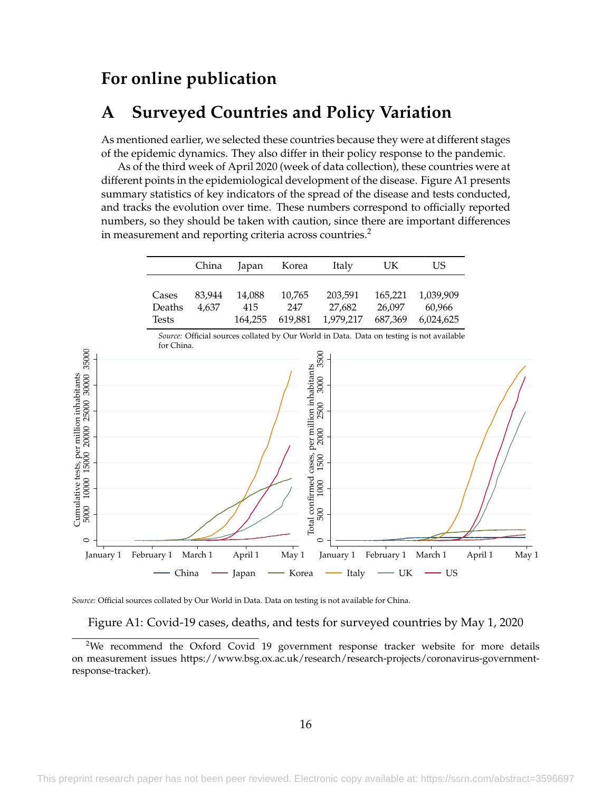## **For online publication**

## **A Surveyed Countries and Policy Variation**

As mentioned earlier, we selected these countries because they were at different stages of the epidemic dynamics. They also differ in their policy response to the pandemic.

As of the third week of April 2020 (week of data collection), these countries were at different points in the epidemiological development of the disease. [Figure A1](#page-17-0) presents summary statistics of key indicators of the spread of the disease and tests conducted, and tracks the evolution over time. These numbers correspond to officially reported numbers, so they should be taken with caution, since there are important differences in measurement and reporting criteria across countries.<sup>[2](#page-17-1)</sup>

<span id="page-17-0"></span>

|                                                                                                                  |                                 | China           | Japan                    | Korea                                                   | Italy                                                                                    | UK                           | <b>US</b>                        |                  |  |
|------------------------------------------------------------------------------------------------------------------|---------------------------------|-----------------|--------------------------|---------------------------------------------------------|------------------------------------------------------------------------------------------|------------------------------|----------------------------------|------------------|--|
|                                                                                                                  | Cases<br>Deaths<br><b>Tests</b> | 83,944<br>4,637 | 14,088<br>415<br>164,255 | 10,765<br>247<br>619,881                                | 203,591<br>27,682<br>1,979,217                                                           | 165,221<br>26,097<br>687,369 | 1,039,909<br>60,966<br>6,024,625 |                  |  |
|                                                                                                                  | for China.                      |                 |                          |                                                         | Source: Official sources collated by Our World in Data. Data on testing is not available |                              |                                  |                  |  |
| 35000<br>Cumulative tests, per million inhabitants<br>5000 10000 15000 20000 25000 30000<br>$\circ$<br>January 1 | February 1                      | March 1         | April 1                  | Total confirmed cases, per million inhabitants<br>May 1 | 3500<br>3000<br>2500<br>2000<br>1500<br>1000<br>500<br>$\circ$<br>January 1              | February 1                   | March 1                          | April 1<br>May 1 |  |
|                                                                                                                  | China                           |                 | Japan                    | Korea                                                   | Italy                                                                                    | UK                           | $-$ US                           |                  |  |

*Source:* Official sources collated by Our World in Data. Data on testing is not available for China.

Figure A1: Covid-19 cases, deaths, and tests for surveyed countries by May 1, 2020

<span id="page-17-1"></span><sup>&</sup>lt;sup>2</sup>We recommend the Oxford Covid 19 government response tracker website for more details on measurement issues https://www.bsg.ox.ac.uk/research/research-projects/coronavirus-governmentresponse-tracker).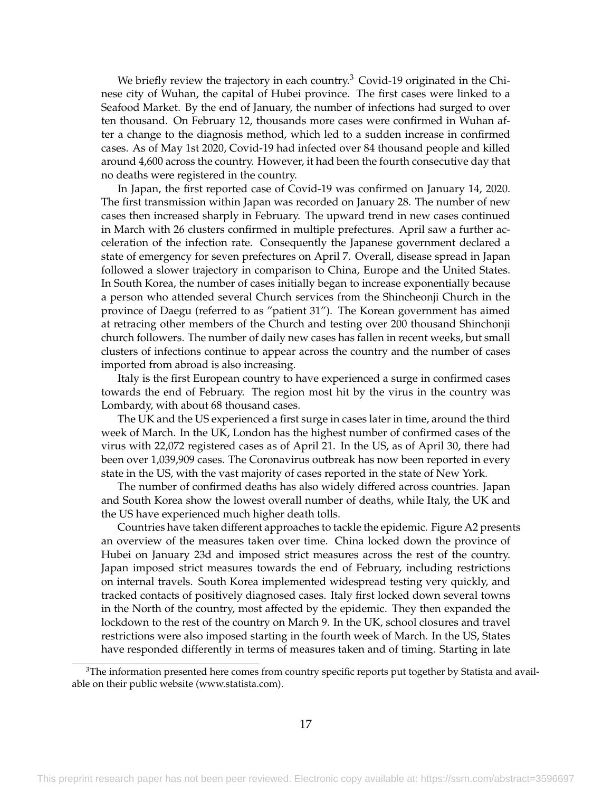We briefly review the trajectory in each country.<sup>[3](#page-18-0)</sup> Covid-19 originated in the Chinese city of Wuhan, the capital of Hubei province. The first cases were linked to a Seafood Market. By the end of January, the number of infections had surged to over ten thousand. On February 12, thousands more cases were confirmed in Wuhan after a change to the diagnosis method, which led to a sudden increase in confirmed cases. As of May 1st 2020, Covid-19 had infected over 84 thousand people and killed around 4,600 across the country. However, it had been the fourth consecutive day that no deaths were registered in the country.

In Japan, the first reported case of Covid-19 was confirmed on January 14, 2020. The first transmission within Japan was recorded on January 28. The number of new cases then increased sharply in February. The upward trend in new cases continued in March with 26 clusters confirmed in multiple prefectures. April saw a further acceleration of the infection rate. Consequently the Japanese government declared a state of emergency for seven prefectures on April 7. Overall, disease spread in Japan followed a slower trajectory in comparison to China, Europe and the United States. In South Korea, the number of cases initially began to increase exponentially because a person who attended several Church services from the Shincheonji Church in the province of Daegu (referred to as "patient 31"). The Korean government has aimed at retracing other members of the Church and testing over 200 thousand Shinchonji church followers. The number of daily new cases has fallen in recent weeks, but small clusters of infections continue to appear across the country and the number of cases imported from abroad is also increasing.

Italy is the first European country to have experienced a surge in confirmed cases towards the end of February. The region most hit by the virus in the country was Lombardy, with about 68 thousand cases.

The UK and the US experienced a first surge in cases later in time, around the third week of March. In the UK, London has the highest number of confirmed cases of the virus with 22,072 registered cases as of April 21. In the US, as of April 30, there had been over 1,039,909 cases. The Coronavirus outbreak has now been reported in every state in the US, with the vast majority of cases reported in the state of New York.

The number of confirmed deaths has also widely differed across countries. Japan and South Korea show the lowest overall number of deaths, while Italy, the UK and the US have experienced much higher death tolls.

Countries have taken different approaches to tackle the epidemic. [Figure A2](#page-19-0) presents an overview of the measures taken over time. China locked down the province of Hubei on January 23d and imposed strict measures across the rest of the country. Japan imposed strict measures towards the end of February, including restrictions on internal travels. South Korea implemented widespread testing very quickly, and tracked contacts of positively diagnosed cases. Italy first locked down several towns in the North of the country, most affected by the epidemic. They then expanded the lockdown to the rest of the country on March 9. In the UK, school closures and travel restrictions were also imposed starting in the fourth week of March. In the US, States have responded differently in terms of measures taken and of timing. Starting in late

<span id="page-18-0"></span> $3$ The information presented here comes from country specific reports put together by Statista and available on their public website (www.statista.com).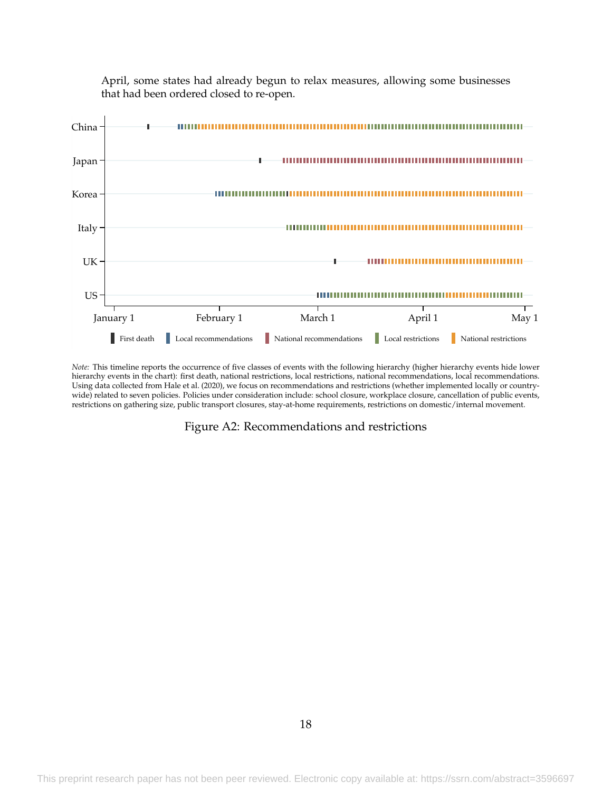<span id="page-19-0"></span>

April, some states had already begun to relax measures, allowing some businesses that had been ordered closed to re-open.

*Note:* This timeline reports the occurrence of five classes of events with the following hierarchy (higher hierarchy events hide lower hierarchy events in the chart): first death, national restrictions, local restrictions, national recommendations, local recommendations. Using data collected from [Hale et al.](#page-16-4) [\(2020\)](#page-16-4), we focus on recommendations and restrictions (whether implemented locally or countrywide) related to seven policies. Policies under consideration include: school closure, workplace closure, cancellation of public events, restrictions on gathering size, public transport closures, stay-at-home requirements, restrictions on domestic/internal movement.

Figure A2: Recommendations and restrictions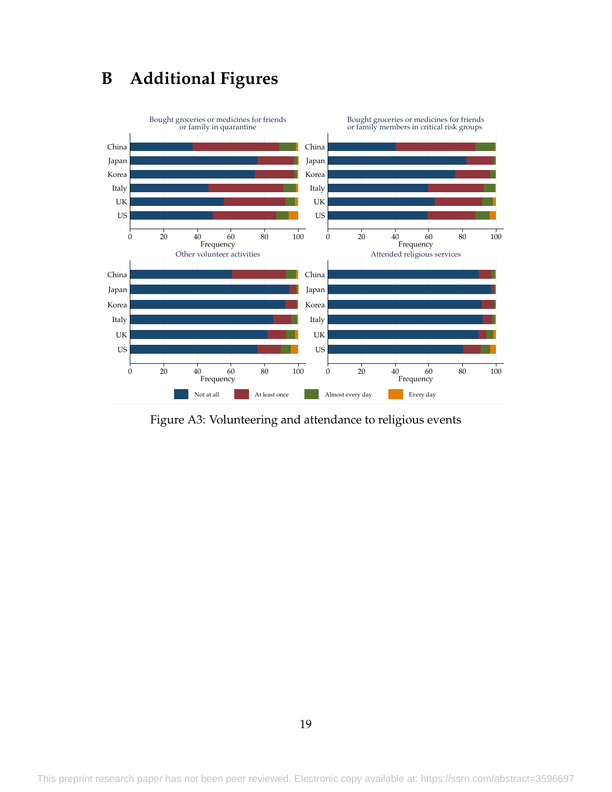# **B Additional Figures**

<span id="page-20-0"></span>

Figure A3: Volunteering and attendance to religious events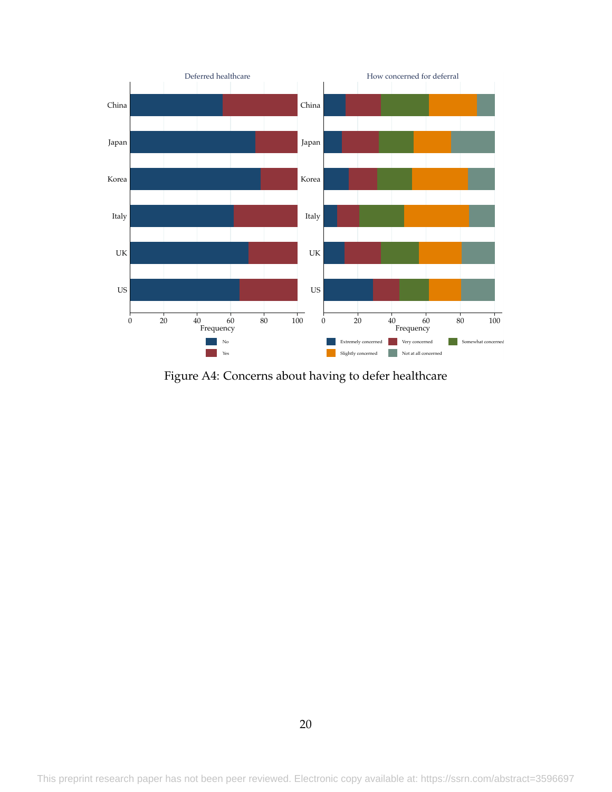<span id="page-21-0"></span>

Figure A4: Concerns about having to defer healthcare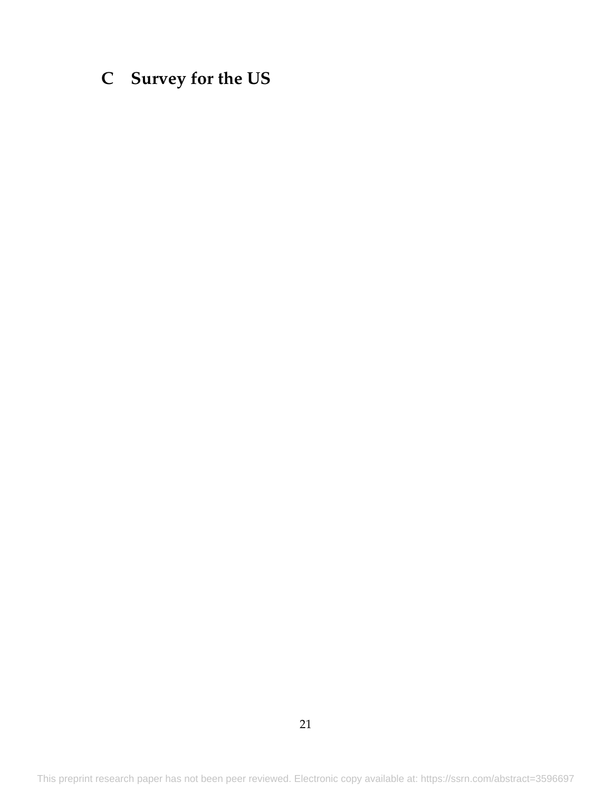# <span id="page-22-0"></span>**C Survey for the US**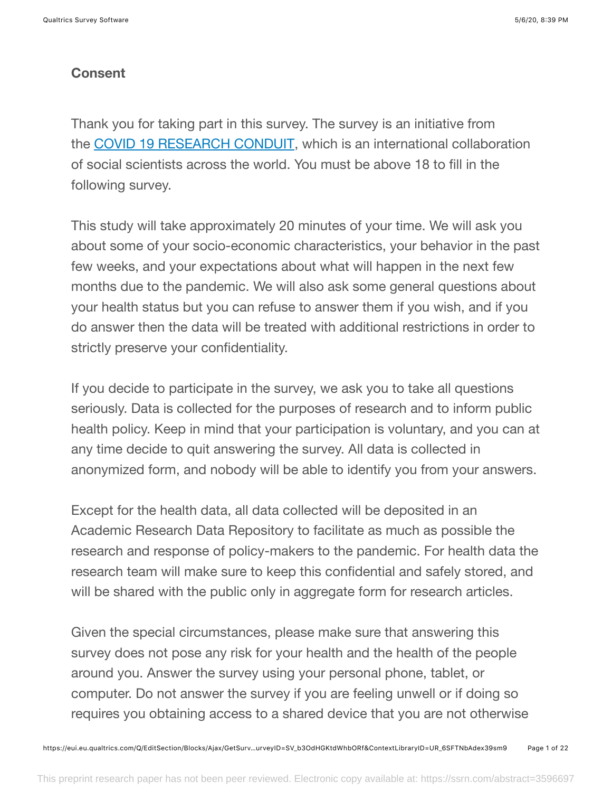## **Consent**

Thank you for taking part in this survey. The survey is an initiative from the COVID 19 RESEARCH CONDUIT, which is an international collaboration of social scientists across the world. You must be above 18 to fill in the following survey.

This study will take approximately 20 minutes of your time. We will ask you about some of your socio-economic characteristics, your behavior in the past few weeks, and your expectations about what will happen in the next few months due to the pandemic. We will also ask some general questions about your health status but you can refuse to answer them if you wish, and if you do answer then the data will be treated with additional restrictions in order to strictly preserve your confidentiality.

If you decide to participate in the survey, we ask you to take all questions seriously. Data is collected for the purposes of research and to inform public health policy. Keep in mind that your participation is voluntary, and you can at any time decide to quit answering the survey. All data is collected in anonymized form, and nobody will be able to identify you from your answers.

Except for the health data, all data collected will be deposited in an Academic Research Data Repository to facilitate as much as possible the research and response of policy-makers to the pandemic. For health data the research team will make sure to keep this confidential and safely stored, and will be shared with the public only in aggregate form for research articles.

Given the special circumstances, please make sure that answering this survey does not pose any risk for your health and the health of the people around you. Answer the survey using your personal phone, tablet, or computer. Do not answer the survey if you are feeling unwell or if doing so requires you obtaining access to a shared device that you are not otherwise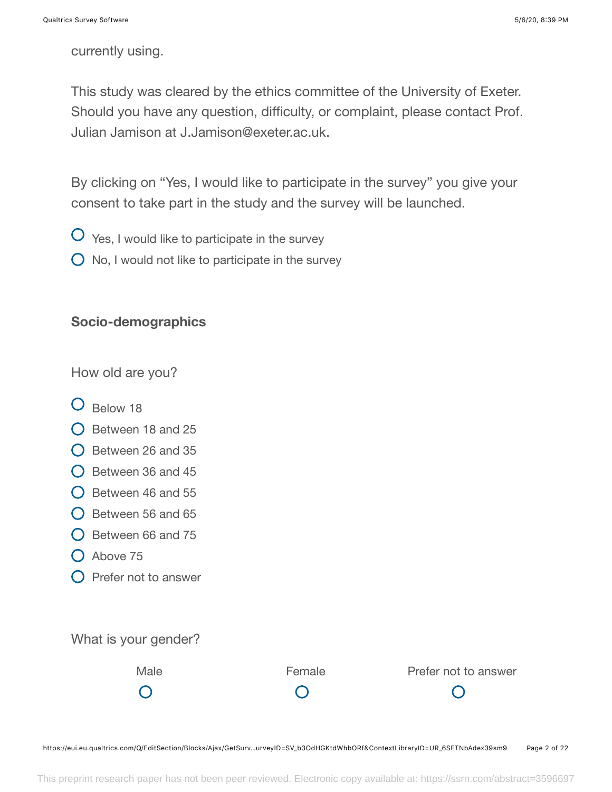currently using.

This study was cleared by the ethics committee of the University of Exeter. Should you have any question, difficulty, or complaint, please contact Prof. Julian Jamison at J.Jamison@exeter.ac.uk.

By clicking on "Yes, I would like to participate in the survey" you give your consent to take part in the study and the survey will be launched.

- $\overline{O}$  Yes, I would like to participate in the survey
- $\bigcirc$  No, I would not like to participate in the survey

### **Socio-demographics**

How old are you?

- **O** Below 18
- $\bigcirc$  Between 18 and 25
- $\bigcirc$  Between 26 and 35
- $\bigcirc$  Between 36 and 45
- $\bigcirc$  Between 46 and 55
- $\bigcirc$  Between 56 and 65
- $\bigcirc$  Between 66 and 75
- $O$  Above 75
- $\bigcirc$  Prefer not to answer

What is your gender?

 $\bigcap$ 

 $\bigcap$ 

Male **Female** Prefer not to answer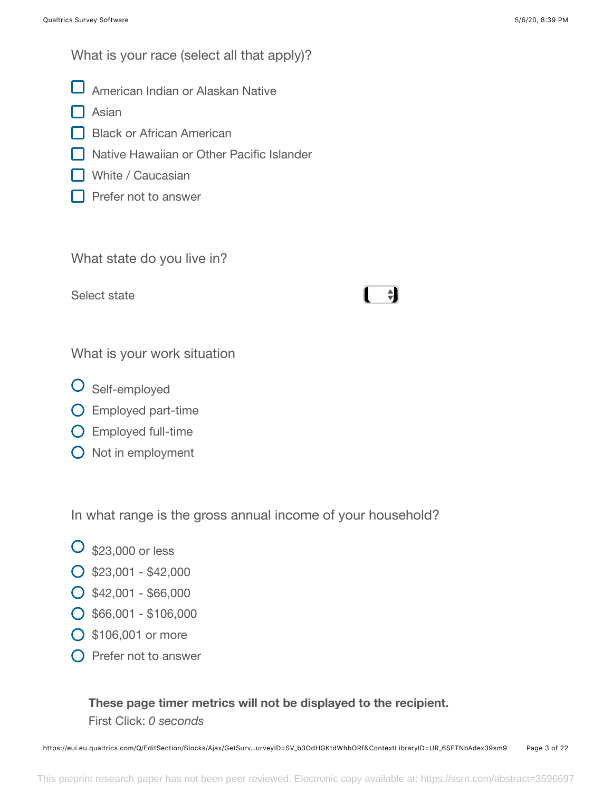What is your race (select all that apply)?

- American Indian or Alaskan Native
- Asian
- Black or African American
- **Native Hawaiian or Other Pacific Islander**
- White / Caucasian
- **Prefer not to answer**

What state do you live in?

Select state

# $\div$

What is your work situation

- O Self-employed
- Employed part-time
- Employed full-time
- $\bigcirc$  Not in employment

In what range is the gross annual income of your household?

- $\overline{O}$  \$23,000 or less
- $\bigcirc$  \$23,001 \$42,000
- $O$  \$42,001 \$66,000
- $\bigcirc$  \$66,001 \$106,000
- \$106,001 or more
- $\bigcap$  Prefer not to answer

## **These page timer metrics will not be displayed to the recipient.** First Click: *0 seconds*

https://eui.eu.qualtrics.com/Q/EditSection/Blocks/Ajax/GetSurv…urveyID=SV\_b3OdHGKtdWhbORf&ContextLibraryID=UR\_6SFTNbAdex39sm9 Page 3 of 22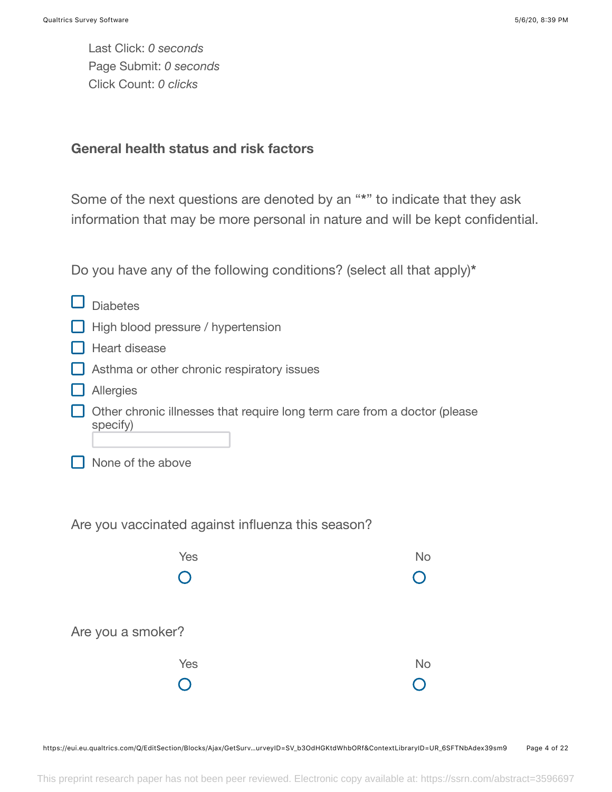Last Click: *0 seconds* Page Submit: *0 seconds* Click Count: *0 clicks*

### **General health status and risk factors**

Some of the next questions are denoted by an "**\***" to indicate that they ask information that may be more personal in nature and will be kept confidential.

Do you have any of the following conditions? (select all that apply)**\***

| <b>Diabetes</b>                                                                       |           |
|---------------------------------------------------------------------------------------|-----------|
| High blood pressure / hypertension                                                    |           |
| Heart disease                                                                         |           |
| Asthma or other chronic respiratory issues                                            |           |
| Allergies                                                                             |           |
| Other chronic illnesses that require long term care from a doctor (please<br>specify) |           |
| None of the above                                                                     |           |
| Are you vaccinated against influenza this season?                                     |           |
| Yes                                                                                   | <b>No</b> |
|                                                                                       |           |
| Are you a smoker?                                                                     |           |
| Yes                                                                                   | <b>No</b> |
|                                                                                       |           |
|                                                                                       |           |

https://eui.eu.qualtrics.com/Q/EditSection/Blocks/Ajax/GetSurv…urveyID=SV\_b3OdHGKtdWhbORf&ContextLibraryID=UR\_6SFTNbAdex39sm9 Page 4 of 22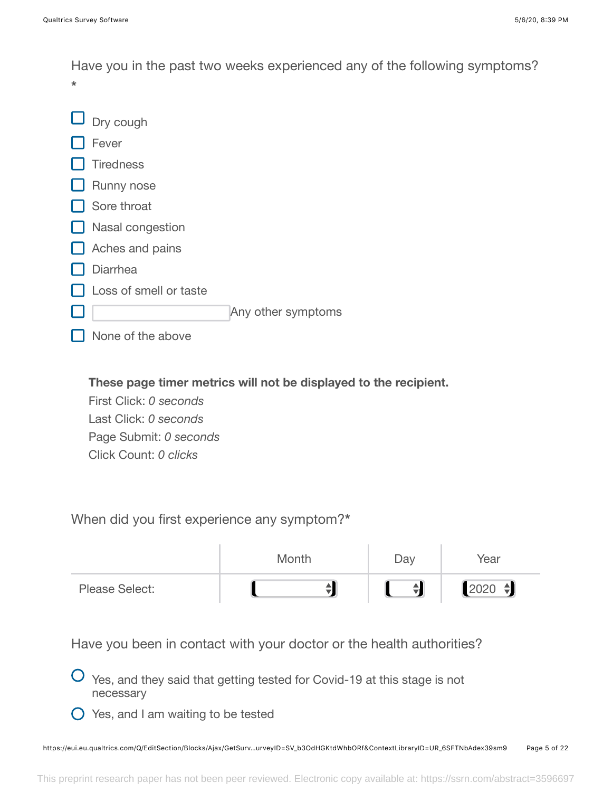Have you in the past two weeks experienced any of the following symptoms? **\***

| $\Box$ Dry cough        |                    |
|-------------------------|--------------------|
| Fever                   |                    |
| Tiredness               |                    |
| $\Box$ Runny nose       |                    |
| Sore throat             |                    |
| $\Box$ Nasal congestion |                    |
| $\Box$ Aches and pains  |                    |
| <b>Diarrhea</b>         |                    |
| Loss of smell or taste  |                    |
|                         | Any other symptoms |
| None of the above       |                    |

**These page timer metrics will not be displayed to the recipient.**

First Click: *0 seconds* Last Click: *0 seconds* Page Submit: *0 seconds* Click Count: *0 clicks*

When did you first experience any symptom?**\***

|                       | Month | Day        | Year              |
|-----------------------|-------|------------|-------------------|
| <b>Please Select:</b> |       | $\ddagger$ | $\  2020 \div \ $ |

Have you been in contact with your doctor or the health authorities?

 $\overline{O}$  Yes, and they said that getting tested for Covid-19 at this stage is not necessary

 $\bigcirc$  Yes, and I am waiting to be tested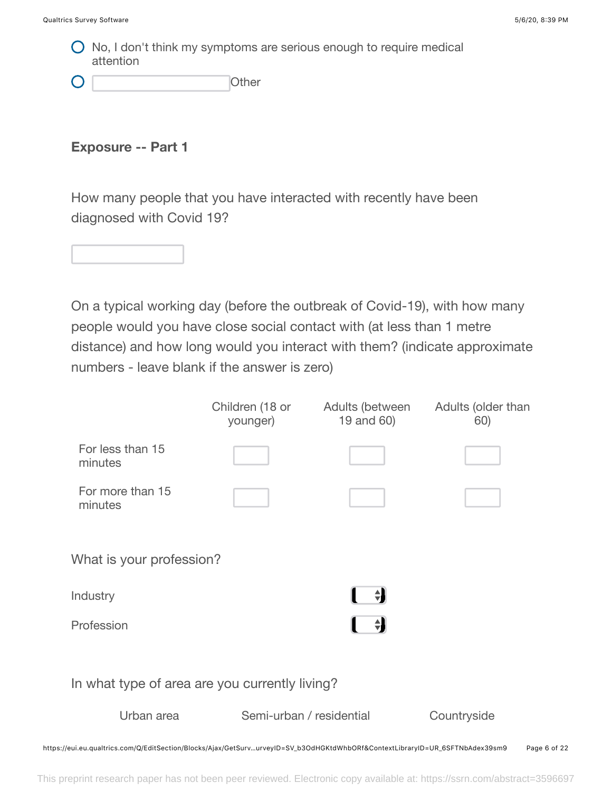$\bigcirc$  No, I don't think my symptoms are serious enough to require medical attention

| C | Other |
|---|-------|
|   |       |

**Exposure -- Part 1**

How many people that you have interacted with recently have been diagnosed with Covid 19?



On a typical working day (before the outbreak of Covid-19), with how many people would you have close social contact with (at less than 1 metre distance) and how long would you interact with them? (indicate approximate numbers - leave blank if the answer is zero)

|                                                                                                                               | Children (18 or<br>younger) | Adults (between<br>19 and 60) | Adults (older than<br>60) |              |
|-------------------------------------------------------------------------------------------------------------------------------|-----------------------------|-------------------------------|---------------------------|--------------|
| For less than 15<br>minutes                                                                                                   |                             |                               |                           |              |
| For more than 15<br>minutes                                                                                                   |                             |                               |                           |              |
| What is your profession?                                                                                                      |                             |                               |                           |              |
| Industry                                                                                                                      |                             | ÷                             |                           |              |
| Profession                                                                                                                    |                             | $\triangleq$                  |                           |              |
| In what type of area are you currently living?                                                                                |                             |                               |                           |              |
| Urban area                                                                                                                    | Semi-urban / residential    |                               | Countryside               |              |
| https://eui.eu.qualtrics.com/Q/EditSection/Blocks/Ajax/GetSurv…urveyID=SV_b3OdHGKtdWhbORf&ContextLibraryID=UR_6SFTNbAdex39sm9 |                             |                               |                           | Page 6 of 22 |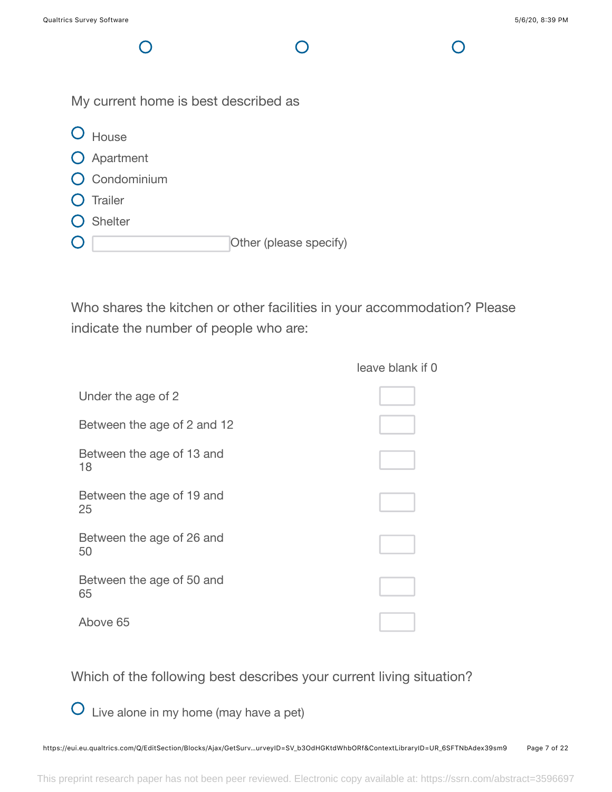My current home is best described as O House O Apartment

**O** Condominium

 $\bigcap$ 

- **O** Trailer
- O Shelter
- Other (please specify)  $\mathbf{O}$

Who shares the kitchen or other facilities in your accommodation? Please indicate the number of people who are:

|                                 | leave blank if 0 |
|---------------------------------|------------------|
| Under the age of 2              |                  |
| Between the age of 2 and 12     |                  |
| Between the age of 13 and<br>18 |                  |
| Between the age of 19 and<br>25 |                  |
| Between the age of 26 and<br>50 |                  |
| Between the age of 50 and<br>65 |                  |
| Above 65                        |                  |

Which of the following best describes your current living situation?

Live alone in my home (may have a pet)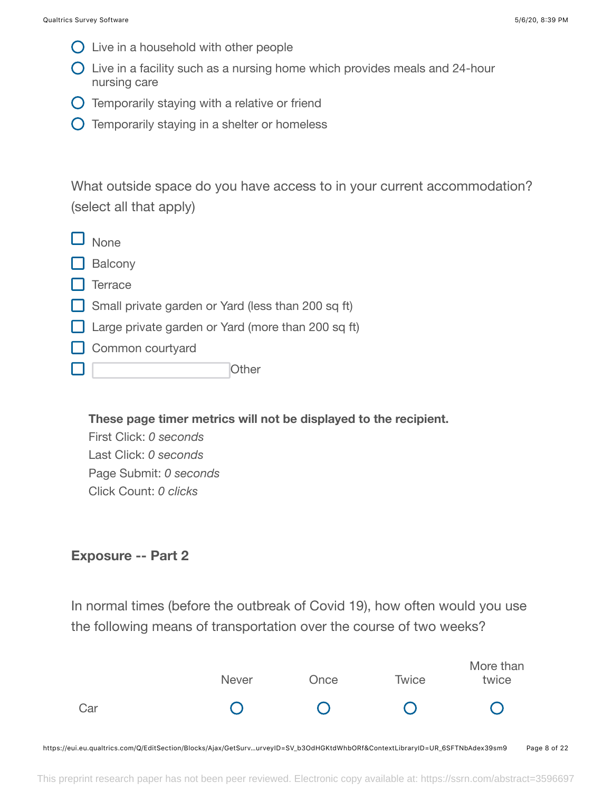- $\bigcirc$  Live in a household with other people
- $\bigcirc$  Live in a facility such as a nursing home which provides meals and 24-hour nursing care
- $\bigcirc$  Temporarily staying with a relative or friend
- $\bigcirc$  Temporarily staying in a shelter or homeless

What outside space do you have access to in your current accommodation? (select all that apply)

| $\Box$ None                                               |
|-----------------------------------------------------------|
| $\Box$ Balcony                                            |
| $\Box$ Terrace                                            |
| $\Box$ Small private garden or Yard (less than 200 sq ft) |
| $\Box$ Large private garden or Yard (more than 200 sq ft) |
| $\Box$ Common courtyard                                   |
| ( )ther                                                   |

**These page timer metrics will not be displayed to the recipient.**

First Click: *0 seconds* Last Click: *0 seconds* Page Submit: *0 seconds* Click Count: *0 clicks*

## **Exposure -- Part 2**

In normal times (before the outbreak of Covid 19), how often would you use the following means of transportation over the course of two weeks?

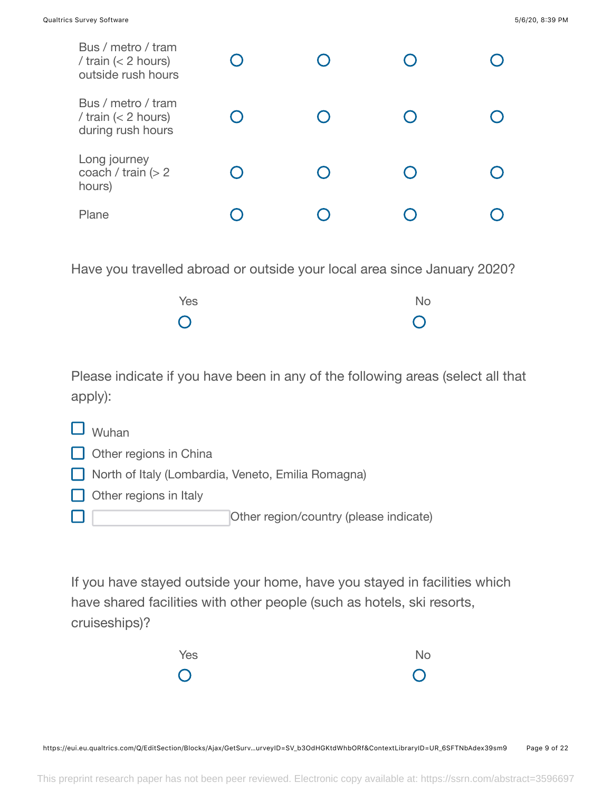| Bus / metro / tram<br>/ train $(< 2$ hours)<br>outside rush hours |  |  |
|-------------------------------------------------------------------|--|--|
| Bus / metro / tram<br>/ train $(< 2$ hours)<br>during rush hours  |  |  |
| Long journey<br>coach / train $(> 2$<br>hours)                    |  |  |
| Plane                                                             |  |  |

Have you travelled abroad or outside your local area since January 2020?

| Yes            | <b>No</b>      |
|----------------|----------------|
| $\overline{O}$ | $\overline{O}$ |

Please indicate if you have been in any of the following areas (select all that apply):

| Wuhan |  |
|-------|--|
|-------|--|

- $\Box$  Other regions in China
- North of Italy (Lombardia, Veneto, Emilia Romagna)
- $\Box$  Other regions in Italy

Other region/country (please indicate)  $\Box$ 

If you have stayed outside your home, have you stayed in facilities which have shared facilities with other people (such as hotels, ski resorts, cruiseships)?

| Yes                     | No             |
|-------------------------|----------------|
| $\overline{\mathsf{O}}$ | $\overline{O}$ |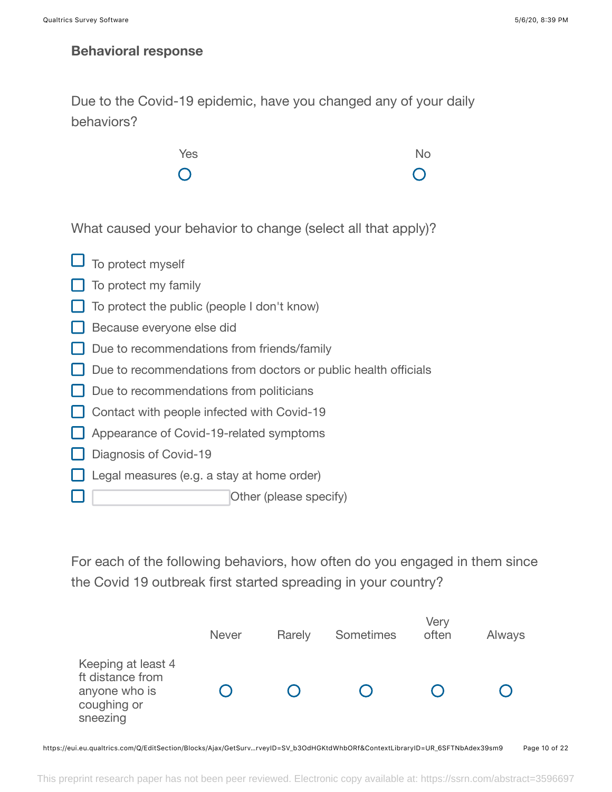H

## **Behavioral response**

Due to the Covid-19 epidemic, have you changed any of your daily behaviors?



What caused your behavior to change (select all that apply)?

| $\Box$ To protect myself                                       |
|----------------------------------------------------------------|
| To protect my family                                           |
| To protect the public (people I don't know)                    |
| Because everyone else did                                      |
| Due to recommendations from friends/family                     |
| Due to recommendations from doctors or public health officials |
| $\Box$ Due to recommendations from politicians                 |
| Contact with people infected with Covid-19                     |
| Appearance of Covid-19-related symptoms                        |
| Diagnosis of Covid-19                                          |
| Legal measures (e.g. a stay at home order)                     |
|                                                                |

Other (please specify)

For each of the following behaviors, how often do you engaged in them since the Covid 19 outbreak first started spreading in your country?

|                                                                                    | <b>Never</b> | Rarely | <b>Sometimes</b> | Very<br>often | Always |
|------------------------------------------------------------------------------------|--------------|--------|------------------|---------------|--------|
| Keeping at least 4<br>ft distance from<br>anyone who is<br>coughing or<br>sneezing |              |        |                  |               |        |

https://eui.eu.qualtrics.com/Q/EditSection/Blocks/Ajax/GetSurv…rveyID=SV\_b3OdHGKtdWhbORf&ContextLibraryID=UR\_6SFTNbAdex39sm9 Page 10 of 22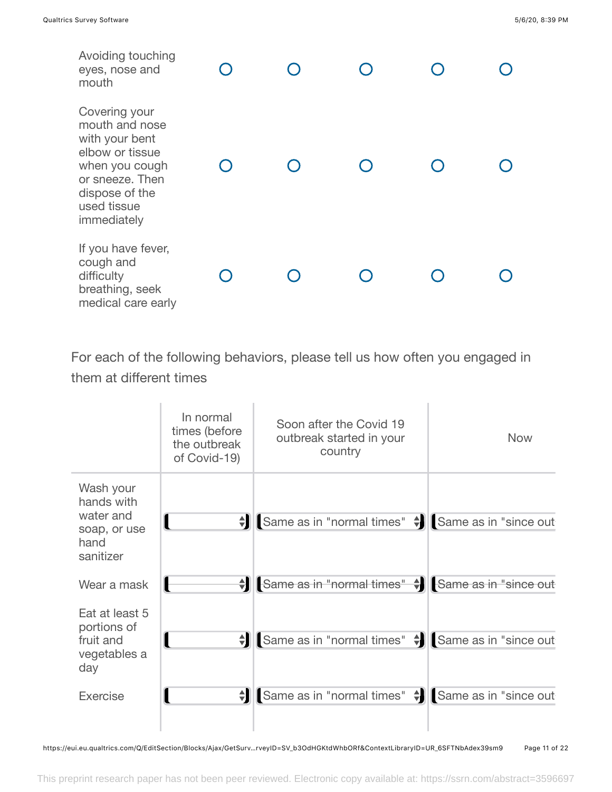| Avoiding touching<br>eyes, nose and<br>mouth                                                                                                              |  |  |  |
|-----------------------------------------------------------------------------------------------------------------------------------------------------------|--|--|--|
| Covering your<br>mouth and nose<br>with your bent<br>elbow or tissue<br>when you cough<br>or sneeze. Then<br>dispose of the<br>used tissue<br>immediately |  |  |  |
| If you have fever,<br>cough and<br>difficulty<br>breathing, seek<br>medical care early                                                                    |  |  |  |

For each of the following behaviors, please tell us how often you engaged in them at different times



https://eui.eu.qualtrics.com/Q/EditSection/Blocks/Ajax/GetSurv…rveyID=SV\_b3OdHGKtdWhbORf&ContextLibraryID=UR\_6SFTNbAdex39sm9 Page 11 of 22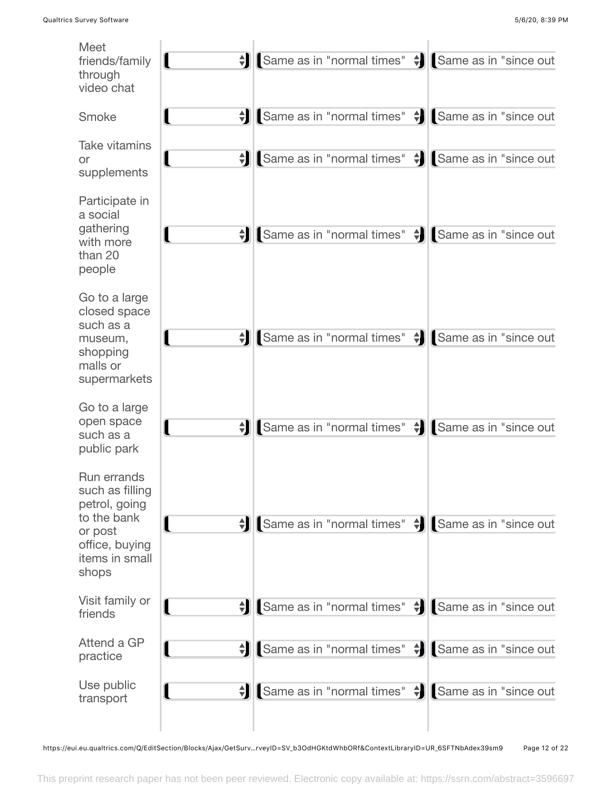

https://eui.eu.qualtrics.com/Q/EditSection/Blocks/Ajax/GetSurv…rveyID=SV\_b3OdHGKtdWhbORf&ContextLibraryID=UR\_6SFTNbAdex39sm9 Page 12 of 22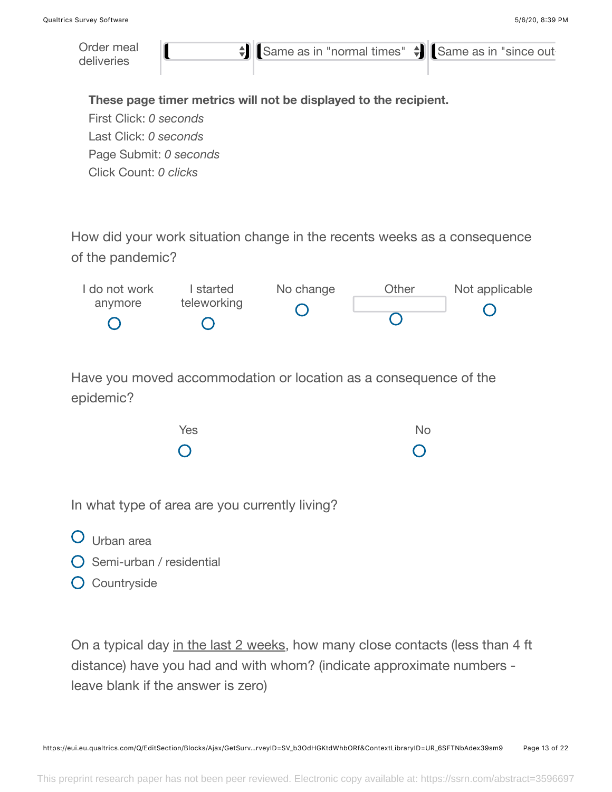

**O** Countryside

On a typical day in the last 2 weeks, how many close contacts (less than 4 ft distance) have you had and with whom? (indicate approximate numbers leave blank if the answer is zero)

https://eui.eu.qualtrics.com/Q/EditSection/Blocks/Ajax/GetSurv…rveyID=SV\_b3OdHGKtdWhbORf&ContextLibraryID=UR\_6SFTNbAdex39sm9 Page 13 of 22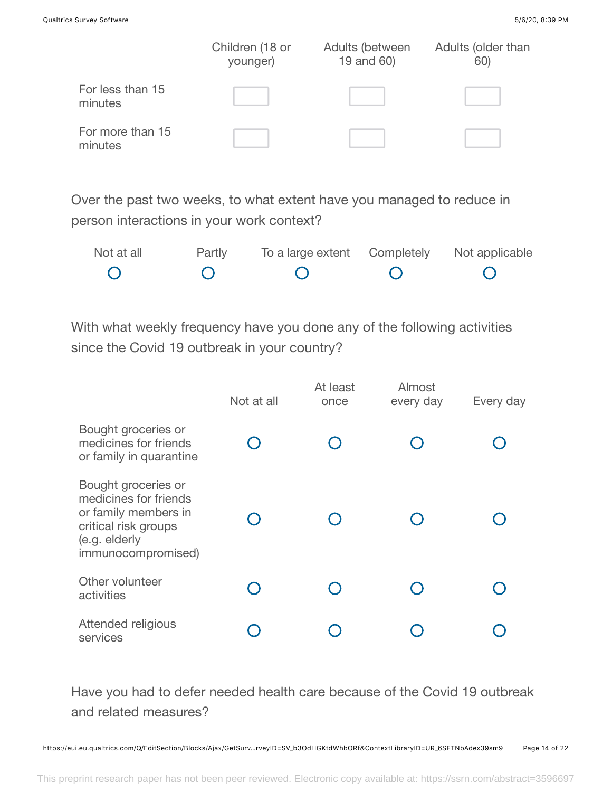|                             | Children (18 or<br>younger) | Adults (between<br>19 and 60) | Adults (older than<br>60) |
|-----------------------------|-----------------------------|-------------------------------|---------------------------|
| For less than 15<br>minutes |                             |                               |                           |
| For more than 15<br>minutes |                             |                               |                           |

Over the past two weeks, to what extent have you managed to reduce in person interactions in your work context?

| Not at all | Partly | To a large extent Completely Not applicable |  |
|------------|--------|---------------------------------------------|--|
|            |        |                                             |  |

With what weekly frequency have you done any of the following activities since the Covid 19 outbreak in your country?

|                                                                                                                                     | Not at all | At least<br>once | Almost<br>every day | Every day |
|-------------------------------------------------------------------------------------------------------------------------------------|------------|------------------|---------------------|-----------|
| Bought groceries or<br>medicines for friends<br>or family in quarantine                                                             |            |                  |                     |           |
| Bought groceries or<br>medicines for friends<br>or family members in<br>critical risk groups<br>(e.g. elderly<br>immunocompromised) |            |                  |                     |           |
| Other volunteer<br>activities                                                                                                       |            |                  |                     |           |
| Attended religious<br>services                                                                                                      |            |                  |                     |           |

Have you had to defer needed health care because of the Covid 19 outbreak and related measures?

https://eui.eu.qualtrics.com/Q/EditSection/Blocks/Ajax/GetSurv…rveyID=SV\_b3OdHGKtdWhbORf&ContextLibraryID=UR\_6SFTNbAdex39sm9 Page 14 of 22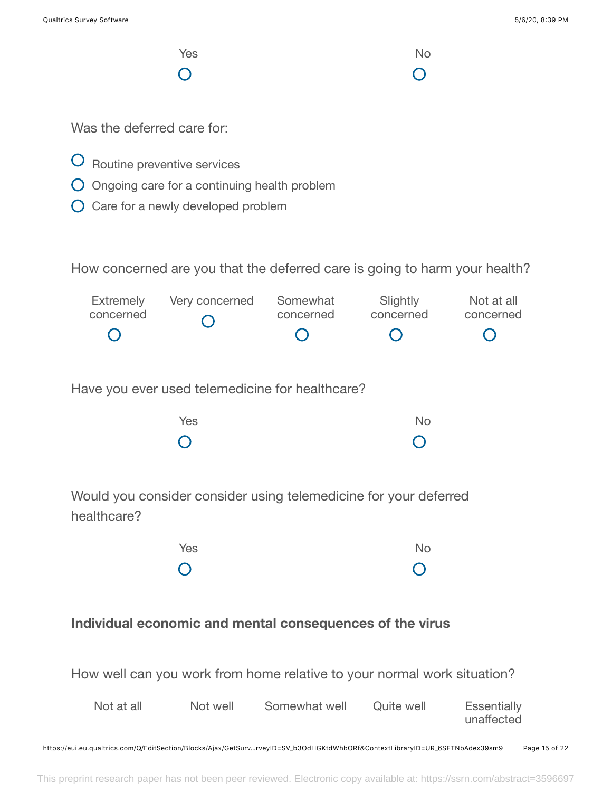$\bigcirc$ 

**Yes** No  $\bigcirc$ 

Was the deferred care for:

- O Routine preventive services
- Ongoing care for a continuing health problem
- O Care for a newly developed problem

How concerned are you that the deferred care is going to harm your health?

| Extremely        | Very concerned Somewhat |           | Slightly                                      | Not at all |
|------------------|-------------------------|-----------|-----------------------------------------------|------------|
| concerned        | $\bigcap$               | concerned | concerned                                     | concerned  |
| $\left( \right)$ |                         |           | $\left( \begin{array}{c} \end{array} \right)$ | $\bigcirc$ |

Have you ever used telemedicine for healthcare?

| Yes        | No             |
|------------|----------------|
| $\bigcirc$ | $\overline{O}$ |

Would you consider consider using telemedicine for your deferred healthcare?

| <b>Yes</b>              | No             |
|-------------------------|----------------|
| $\overline{\mathsf{O}}$ | $\overline{O}$ |

## **Individual economic and mental consequences of the virus**

How well can you work from home relative to your normal work situation?

| Not at all | Not well | Somewhat well | Quite well | Essentially<br>unaffected |
|------------|----------|---------------|------------|---------------------------|
|            |          |               |            |                           |

https://eui.eu.qualtrics.com/Q/EditSection/Blocks/Ajax/GetSurv…rveyID=SV\_b3OdHGKtdWhbORf&ContextLibraryID=UR\_6SFTNbAdex39sm9 Page 15 of 22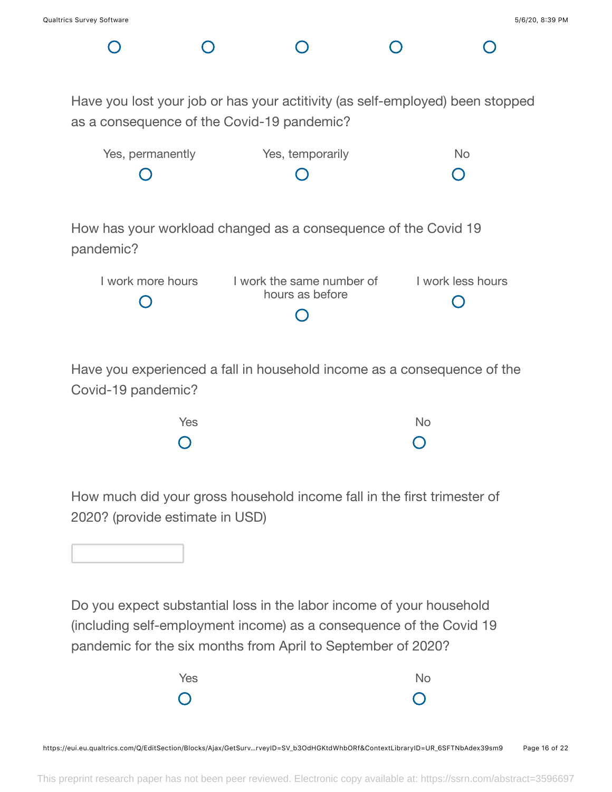Have you lost your job or has your actitivity (as self-employed) been stopped as a consequence of the Covid-19 pandemic?

| Yes, permanently | Yes, temporarily | Nο  |
|------------------|------------------|-----|
| $\left( \right)$ | $\circ$          | - O |

How has your workload changed as a consequence of the Covid 19 pandemic?

| I work more hours | I work the same number of | I work less hours |
|-------------------|---------------------------|-------------------|
|                   | hours as before           |                   |
|                   |                           |                   |

Have you experienced a fall in household income as a consequence of the Covid-19 pandemic?

| Yes            | No             |
|----------------|----------------|
| $\overline{O}$ | $\overline{O}$ |

How much did your gross household income fall in the first trimester of 2020? (provide estimate in USD)

Do you expect substantial loss in the labor income of your household (including self-employment income) as a consequence of the Covid 19 pandemic for the six months from April to September of 2020?

| <b>Yes</b> | No             |
|------------|----------------|
| $\bigcirc$ | $\overline{O}$ |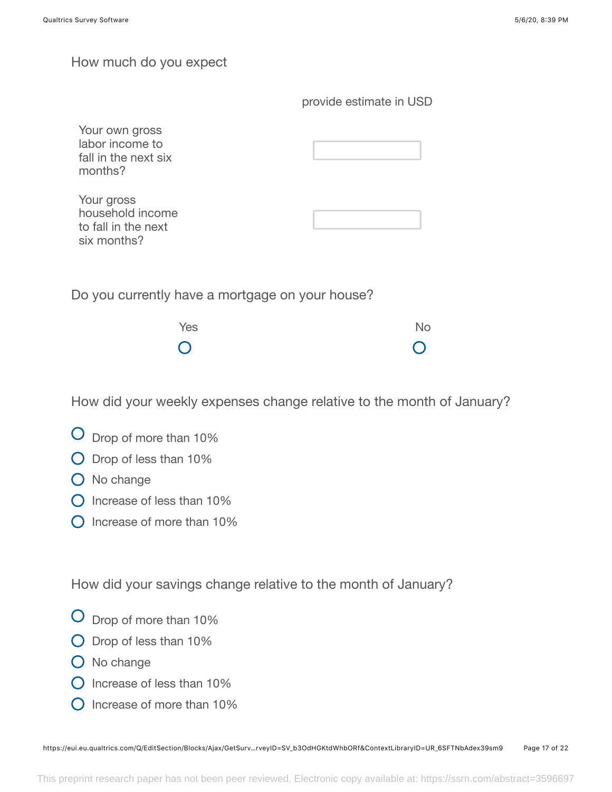### How much do you expect

| Your own gross<br>labor income to<br>fall in the next six<br>months? |  |
|----------------------------------------------------------------------|--|
| Your gross<br>household income<br>to fall in the next<br>six months? |  |
|                                                                      |  |

Do you currently have a mortgage on your house?

| Yes        | No             |
|------------|----------------|
| $\bigcirc$ | $\overline{O}$ |

How did your weekly expenses change relative to the month of January?

- Drop of more than 10%
- Drop of less than 10%
- O No change
- $\bigcap$  Increase of less than 10%
- $\bigcirc$  Increase of more than 10%

How did your savings change relative to the month of January?

- Drop of more than 10%
- Drop of less than 10%
- O No change
- $\Omega$  Increase of less than 10%
- O Increase of more than 10%

https://eui.eu.qualtrics.com/Q/EditSection/Blocks/Ajax/GetSurv…rveyID=SV\_b3OdHGKtdWhbORf&ContextLibraryID=UR\_6SFTNbAdex39sm9 Page 17 of 22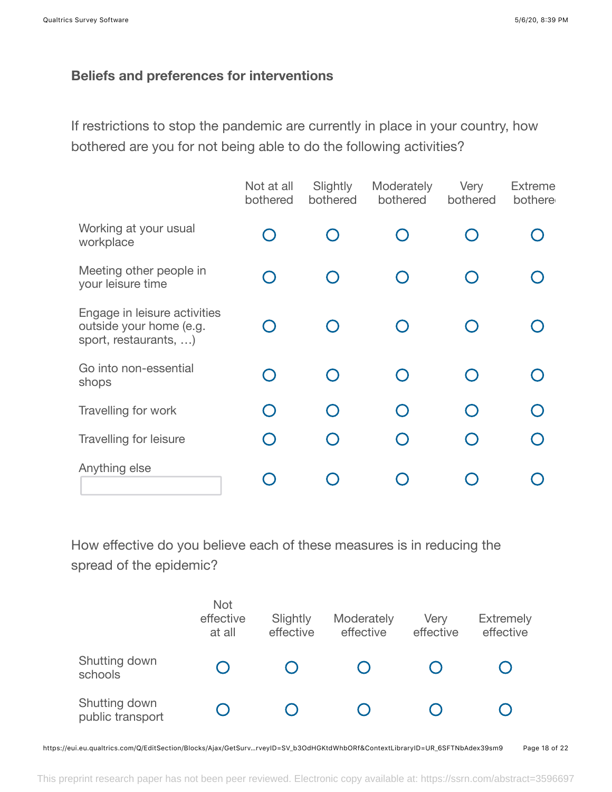## **Beliefs and preferences for interventions**

If restrictions to stop the pandemic are currently in place in your country, how bothered are you for not being able to do the following activities?

|                                                                                  | Not at all<br>bothered | Slightly<br>bothered | Moderately<br>bothered                        | Very<br>bothered | <b>Extreme</b><br>bothere |
|----------------------------------------------------------------------------------|------------------------|----------------------|-----------------------------------------------|------------------|---------------------------|
| Working at your usual<br>workplace                                               |                        |                      | $\left( \begin{array}{c} \end{array} \right)$ |                  |                           |
| Meeting other people in<br>your leisure time                                     |                        |                      | $\bigcap$                                     |                  |                           |
| Engage in leisure activities<br>outside your home (e.g.<br>sport, restaurants, ) |                        |                      | $\bigcap$                                     |                  |                           |
| Go into non-essential<br>shops                                                   |                        |                      | $\bigcap$                                     |                  |                           |
| Travelling for work                                                              | $\bigcap$              |                      | ∩                                             |                  |                           |
| Travelling for leisure                                                           |                        |                      | $\bigcap$                                     |                  |                           |
| Anything else                                                                    |                        |                      |                                               |                  |                           |

How effective do you believe each of these measures is in reducing the spread of the epidemic?

|                                   | Not<br>effective<br>at all | Slightly<br>effective | Moderately<br>effective | Very<br>effective | <b>Extremely</b><br>effective |
|-----------------------------------|----------------------------|-----------------------|-------------------------|-------------------|-------------------------------|
| Shutting down<br>schools          |                            |                       |                         |                   |                               |
| Shutting down<br>public transport |                            |                       |                         |                   |                               |

https://eui.eu.qualtrics.com/Q/EditSection/Blocks/Ajax/GetSurv…rveyID=SV\_b3OdHGKtdWhbORf&ContextLibraryID=UR\_6SFTNbAdex39sm9 Page 18 of 22

This preprint research paper has not been peer reviewed. Electronic copy available at: https://ssrn.com/abstract=3596697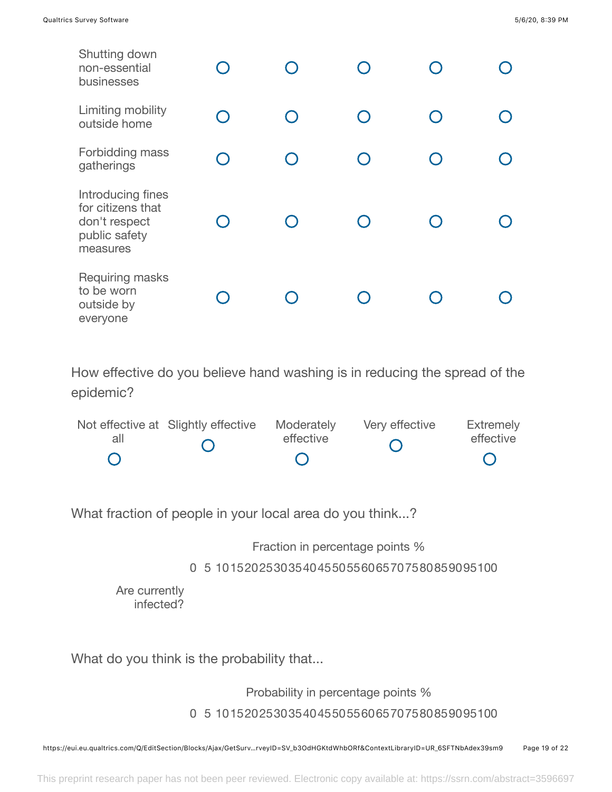| Shutting down<br>non-essential<br>businesses                                         |           |  |  |
|--------------------------------------------------------------------------------------|-----------|--|--|
| Limiting mobility<br>outside home                                                    | $\bigcap$ |  |  |
| Forbidding mass<br>gatherings                                                        |           |  |  |
| Introducing fines<br>for citizens that<br>don't respect<br>public safety<br>measures |           |  |  |
| Requiring masks<br>to be worn<br>outside by<br>everyone                              |           |  |  |

How effective do you believe hand washing is in reducing the spread of the epidemic?

|     | Not effective at Slightly effective Moderately |           | Very effective | Extremely |
|-----|------------------------------------------------|-----------|----------------|-----------|
| all |                                                | effective |                | effective |
|     |                                                |           |                |           |

What fraction of people in your local area do you think...?

Fraction in percentage points %

0 5 101520253035404550556065707580859095100

Are currently infected?

What do you think is the probability that...

Probability in percentage points %

0 5 101520253035404550556065707580859095100

https://eui.eu.qualtrics.com/Q/EditSection/Blocks/Ajax/GetSurv…rveyID=SV\_b3OdHGKtdWhbORf&ContextLibraryID=UR\_6SFTNbAdex39sm9 Page 19 of 22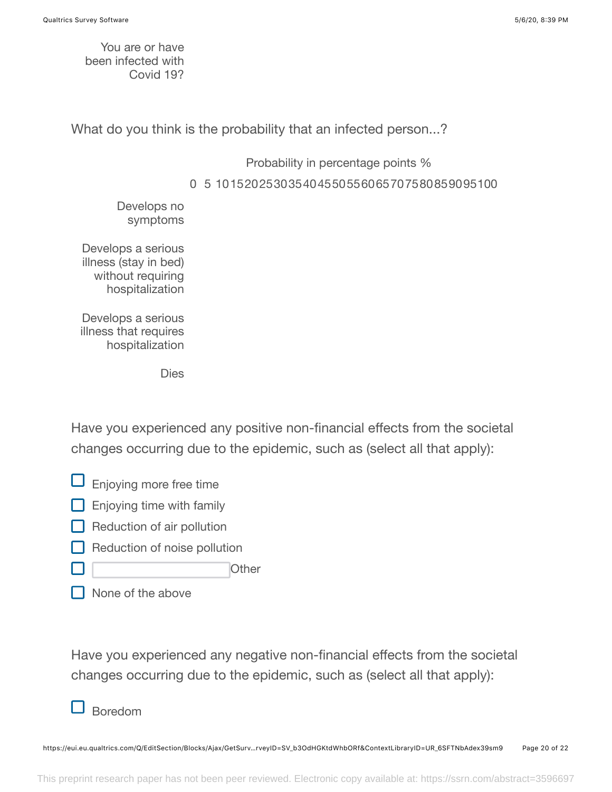You are or have been infected with Covid 19?

What do you think is the probability that an infected person...?

Probability in percentage points %

0 5 101520253035404550556065707580859095100

Develops no symptoms

Develops a serious illness (stay in bed) without requiring hospitalization

Develops a serious illness that requires hospitalization

Dies

Have you experienced any positive non-financial effects from the societal changes occurring due to the epidemic, such as (select all that apply):

- $\Box$  Enjoying more free time
- $\Box$  Enjoying time with family
- $\Box$  Reduction of air pollution
- Reduction of noise pollution
- **Other**
- None of the above

Have you experienced any negative non-financial effects from the societal changes occurring due to the epidemic, such as (select all that apply):

## Boredom

https://eui.eu.qualtrics.com/Q/EditSection/Blocks/Ajax/GetSurv…rveyID=SV\_b3OdHGKtdWhbORf&ContextLibraryID=UR\_6SFTNbAdex39sm9 Page 20 of 22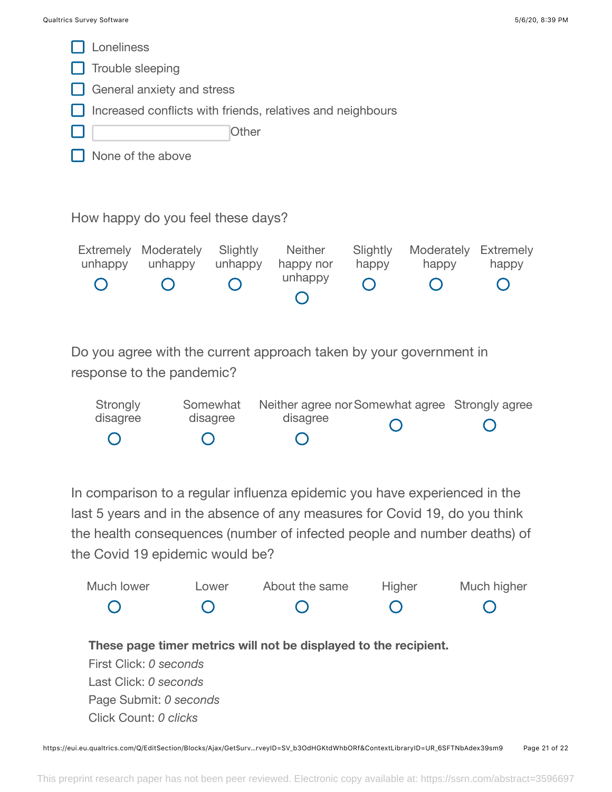

In comparison to a regular influenza epidemic you have experienced in the last 5 years and in the absence of any measures for Covid 19, do you think the health consequences (number of infected people and number deaths) of the Covid 19 epidemic would be?